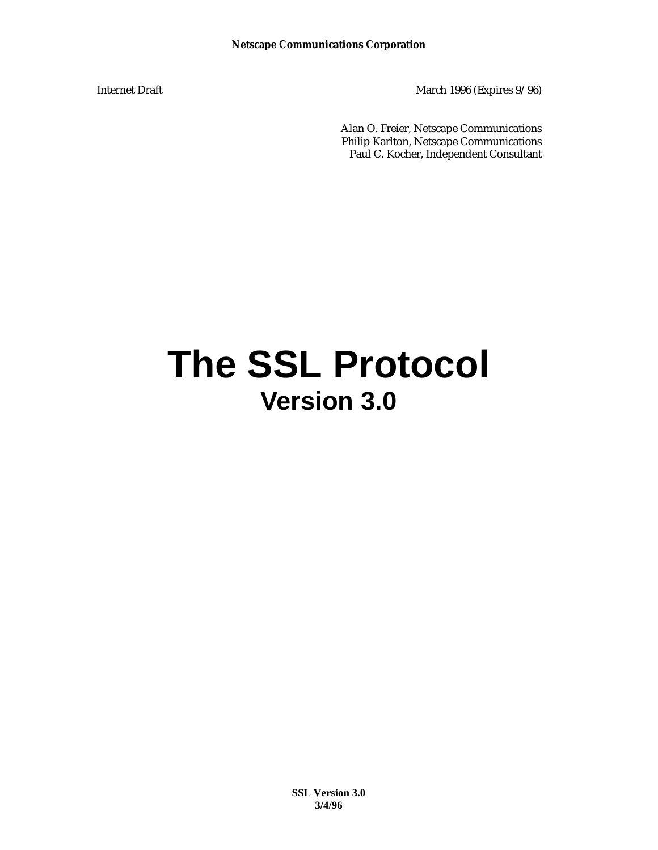Internet Draft March 1996 (Expires 9/96)

Alan O. Freier, Netscape Communications Philip Karlton, Netscape Communications Paul C. Kocher, Independent Consultant

# **The SSL Protocol Version 3.0**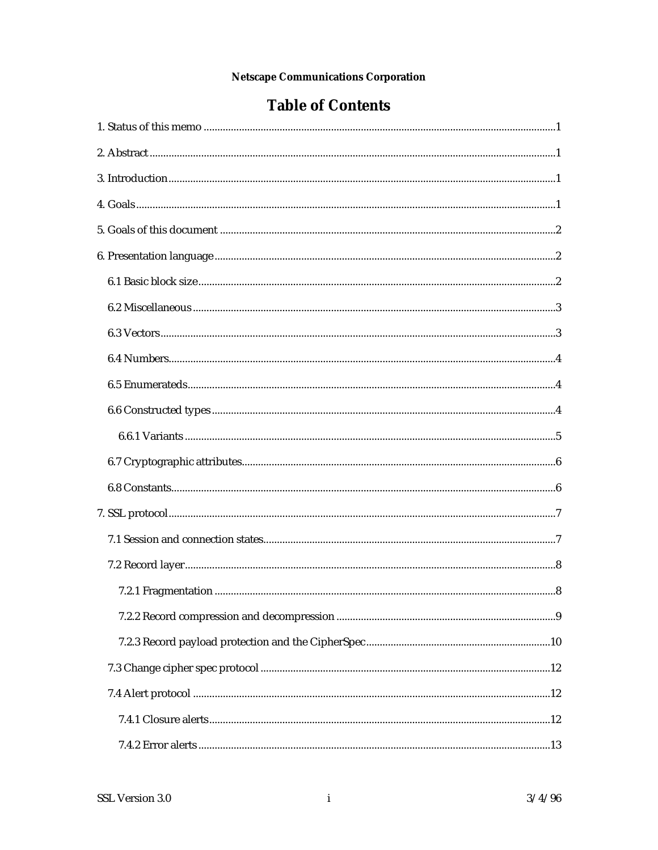### **Table of Contents**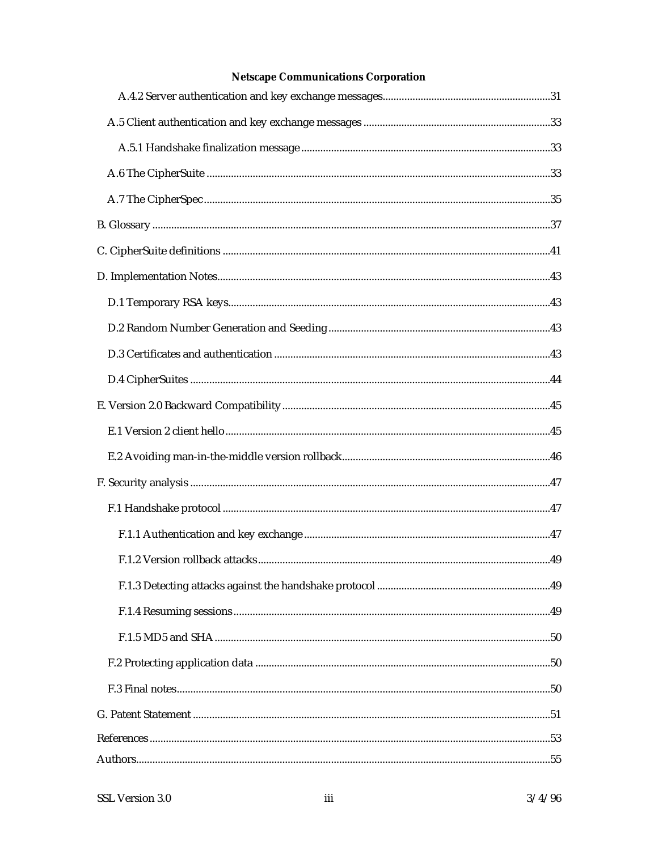| .49 |
|-----|
|     |
|     |
|     |
|     |
|     |
|     |
|     |
|     |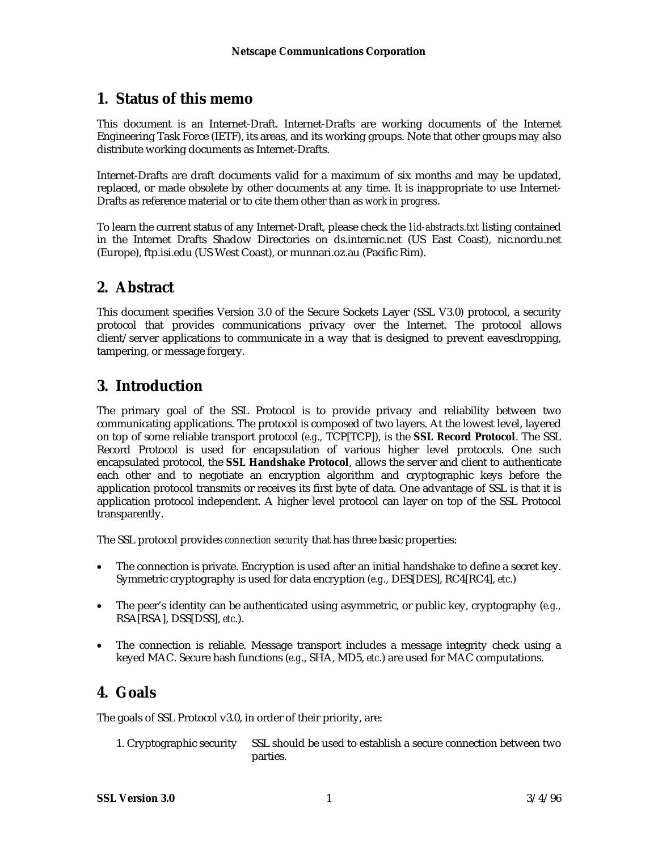### **1. Status of this memo**

This document is an Internet-Draft. Internet-Drafts are working documents of the Internet Engineering Task Force (IETF), its areas, and its working groups. Note that other groups may also distribute working documents as Internet-Drafts.

Internet-Drafts are draft documents valid for a maximum of six months and may be updated, replaced, or made obsolete by other documents at any time. It is inappropriate to use Internet-Drafts as reference material or to cite them other than as *work in progress*.

To learn the current status of any Internet-Draft, please check the *1id-abstracts.txt* listing contained in the Internet Drafts Shadow Directories on ds.internic.net (US East Coast), nic.nordu.net (Europe), ftp.isi.edu (US West Coast), or munnari.oz.au (Pacific Rim).

### **2. Abstract**

This document specifies Version 3.0 of the Secure Sockets Layer (SSL V3.0) protocol, a security protocol that provides communications privacy over the Internet. The protocol allows client/server applications to communicate in a way that is designed to prevent eavesdropping, tampering, or message forgery.

### **3. Introduction**

The primary goal of the SSL Protocol is to provide privacy and reliability between two communicating applications. The protocol is composed of two layers. At the lowest level, layered on top of some reliable transport protocol (*e.g.,* TCP[TCP]), is the **SSL Record Protocol**. The SSL Record Protocol is used for encapsulation of various higher level protocols. One such encapsulated protocol, the **SSL Handshake Protocol**, allows the server and client to authenticate each other and to negotiate an encryption algorithm and cryptographic keys before the application protocol transmits or receives its first byte of data. One advantage of SSL is that it is application protocol independent. A higher level protocol can layer on top of the SSL Protocol transparently.

The SSL protocol provides *connection security* that has three basic properties:

- The connection is private. Encryption is used after an initial handshake to define a secret key. Symmetric cryptography is used for data encryption (*e.g.,* DES[DES], RC4[RC4], *etc*.)
- The peer's identity can be authenticated using asymmetric, or public key, cryptography (*e.g.,* RSA[RSA], DSS[DSS], *etc*.).
- The connection is reliable. Message transport includes a message integrity check using a keyed MAC. Secure hash functions (*e.g*., SHA, MD5, *etc*.) are used for MAC computations.

### **4. Goals**

The goals of SSL Protocol v3.0, in order of their priority, are:

1. Cryptographic security SSL should be used to establish a secure connection between two parties.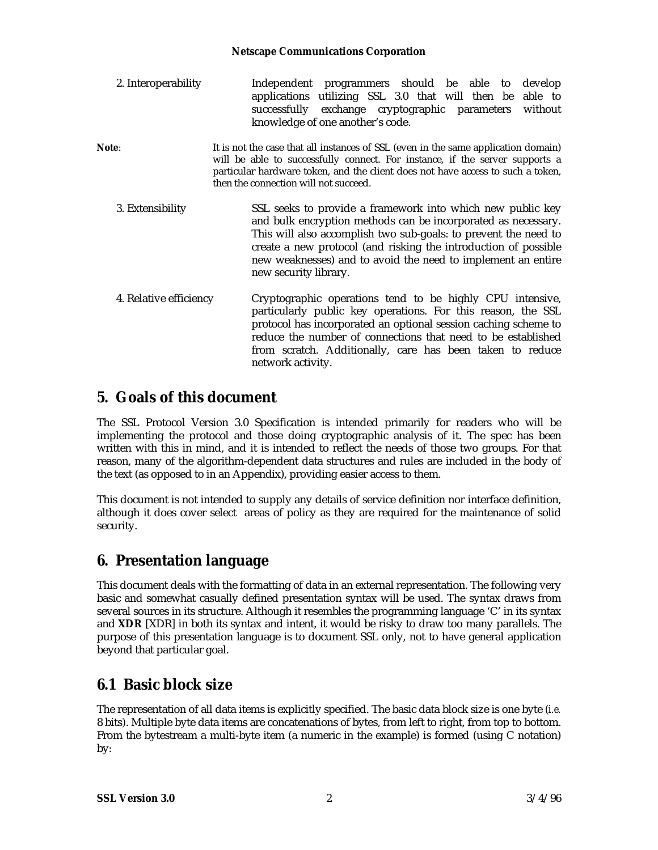| 2. Interoperability    | Independent programmers should be able to develop<br>applications utilizing SSL 3.0 that will then be able to<br>successfully exchange cryptographic parameters without<br>knowledge of one another's code.                                                                                                                                                |
|------------------------|------------------------------------------------------------------------------------------------------------------------------------------------------------------------------------------------------------------------------------------------------------------------------------------------------------------------------------------------------------|
| Note:                  | It is not the case that all instances of SSL (even in the same application domain)<br>will be able to successfully connect. For instance, if the server supports a<br>particular hardware token, and the client does not have access to such a token,<br>then the connection will not succeed.                                                             |
| 3. Extensibility       | SSL seeks to provide a framework into which new public key<br>and bulk encryption methods can be incorporated as necessary.<br>This will also accomplish two sub-goals: to prevent the need to<br>create a new protocol (and risking the introduction of possible<br>new weaknesses) and to avoid the need to implement an entire<br>new security library. |
| 4. Relative efficiency | Cryptographic operations tend to be highly CPU intensive,<br>particularly public key operations. For this reason, the SSL<br>protocol has incorporated an optional session caching scheme to<br>reduce the number of connections that need to be established<br>from scratch. Additionally, care has been taken to reduce<br>network activity.             |

### **5. Goals of this document**

The SSL Protocol Version 3.0 Specification is intended primarily for readers who will be implementing the protocol and those doing cryptographic analysis of it. The spec has been written with this in mind, and it is intended to reflect the needs of those two groups. For that reason, many of the algorithm-dependent data structures and rules are included in the body of the text (as opposed to in an Appendix), providing easier access to them.

This document is not intended to supply any details of service definition nor interface definition, although it does cover select areas of policy as they are required for the maintenance of solid security.

### **6. Presentation language**

This document deals with the formatting of data in an external representation. The following very basic and somewhat casually defined presentation syntax will be used. The syntax draws from several sources in its structure. Although it resembles the programming language 'C' in its syntax and **XDR** [XDR] in both its syntax and intent, it would be risky to draw too many parallels. The purpose of this presentation language is to document SSL only, not to have general application beyond that particular goal.

### **6.1 Basic block size**

The representation of all data items is explicitly specified. The basic data block size is one byte (*i.e.* 8 bits). Multiple byte data items are concatenations of bytes, from left to right, from top to bottom. From the bytestream a multi-byte item (a numeric in the example) is formed (using C notation) by: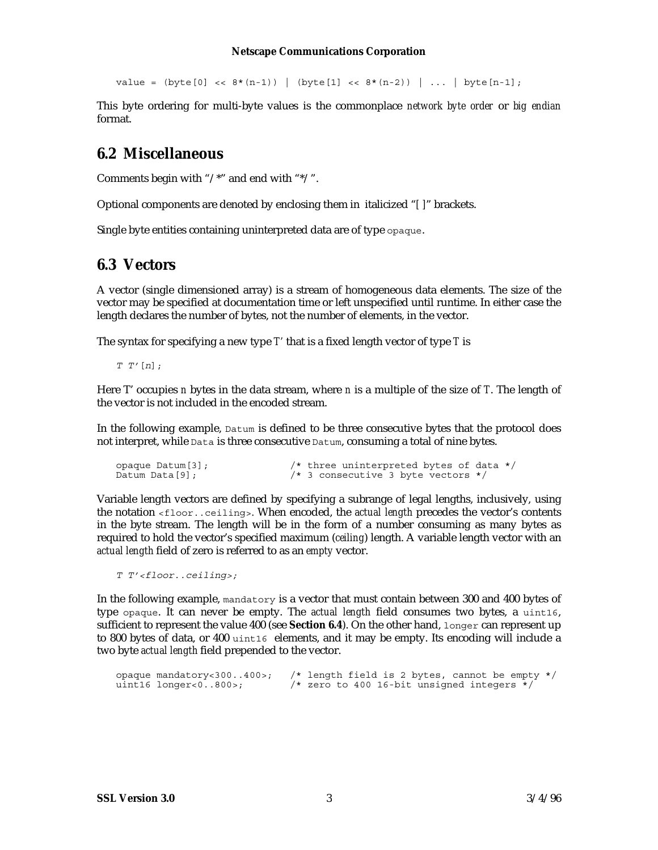value =  $(byte[0] << 8*(n-1))$  |  $(byte[1] << 8*(n-2))$  | ... | byte $[n-1]$ ;

This byte ordering for multi-byte values is the commonplace *network byte order* or *big endian* format.

### **6.2 Miscellaneous**

Comments begin with "/\*" and end with "\*/".

Optional components are denoted by enclosing them in italicized "*[ ]*" brackets.

Single byte entities containing uninterpreted data are of type opaque.

### **6.3 Vectors**

A vector (single dimensioned array) is a stream of homogeneous data elements. The size of the vector may be specified at documentation time or left unspecified until runtime. In either case the length declares the number of bytes, not the number of elements, in the vector.

The syntax for specifying a new type *T'* that is a fixed length vector of type *T* is

 $T T'[n];$ 

Here T' occupies *n* bytes in the data stream, where *n* is a multiple of the size of *T*. The length of the vector is not included in the encoded stream.

In the following example, Datum is defined to be three consecutive bytes that the protocol does not interpret, while Data is three consecutive Datum, consuming a total of nine bytes.

```
opaque Datum[3]; /* three uninterpreted bytes of data */
Datum Data[9]; \frac{1}{2} /* 3 consecutive 3 byte vectors */
```
Variable length vectors are defined by specifying a subrange of legal lengths, inclusively, using the notation <floor..ceiling>. When encoded, the *actual length* precedes the vector's contents in the byte stream. The length will be in the form of a number consuming as many bytes as required to hold the vector's specified maximum (*ceiling*) length. A variable length vector with an *actual length* field of zero is referred to as an *empty* vector.

T T'<floor..ceiling>;

In the following example, mandatory is a vector that must contain between 300 and 400 bytes of type opaque. It can never be empty. The *actual length* field consumes two bytes, a uint16, sufficient to represent the value 400 (see **Section 6.4**). On the other hand, longer can represent up to 800 bytes of data, or 400 uint16 elements, and it may be empty. Its encoding will include a two byte *actual length* field prepended to the vector.

opaque mandatory<300..400>; /\* length field is 2 bytes, cannot be empty \*/<br>uint16 longer<0..800>; /\* zero to 400 16-bit unsigned integers \*/  $\frac{1}{10}$  zero to 400 16-bit unsigned integers \*/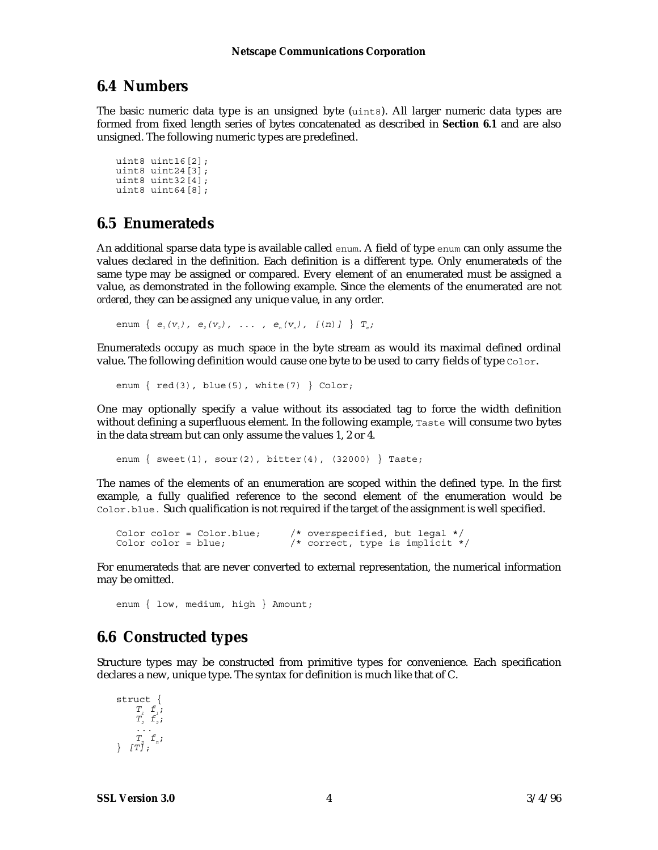### **6.4 Numbers**

The basic numeric data type is an unsigned byte (uint8). All larger numeric data types are formed from fixed length series of bytes concatenated as described in **Section 6.1** and are also unsigned. The following numeric types are predefined.

```
uint8 uint16[2];
uint8 uint24[3];
uint8 uint32[4];
uint8 uint64[8];
```
### **6.5 Enumerateds**

An additional sparse data type is available called enum. A field of type enum can only assume the values declared in the definition. Each definition is a different type. Only enumerateds of the same type may be assigned or compared. Every element of an enumerated must be assigned a value, as demonstrated in the following example. Since the elements of the enumerated are not *ordered*, they can be assigned any unique value, in any order.

enum  $\{ e_{i}(v_{i}), e_{i}(v_{i}), \ldots, e_{i}(v_{n}), [n] \}$   $T_{e}$ ;

Enumerateds occupy as much space in the byte stream as would its maximal defined ordinal value. The following definition would cause one byte to be used to carry fields of type Color.

enum  $\{red(3), blue(5), white(7) \} Color;$ 

One may optionally specify a value without its associated tag to force the width definition without defining a superfluous element. In the following example, Taste will consume two bytes in the data stream but can only assume the values 1, 2 or 4.

enum  $\{$  sweet(1), sour(2), bitter(4), (32000)  $\}$  Taste;

The names of the elements of an enumeration are scoped within the defined type. In the first example, a fully qualified reference to the second element of the enumeration would be Color.blue. Such qualification is not required if the target of the assignment is well specified.

```
Color color = Color.blue; /* overspecified, but legal */<br>Color color = blue; /* correct, type is implicit *
                                              y' correct, type is implicit */
```
For enumerateds that are never converted to external representation, the numerical information may be omitted.

enum { low, medium, high } Amount;

### **6.6 Constructed types**

Structure types may be constructed from primitive types for convenience. Each specification declares a new, unique type. The syntax for definition is much like that of C.

struct {  $T_i$   $f_i$ ;  $\overline{T}_2$   $\overline{f}_2$ ;  $\overline{T}_n \cdot \overline{f}_n$ ;  $\}$   $[T\overline{j};$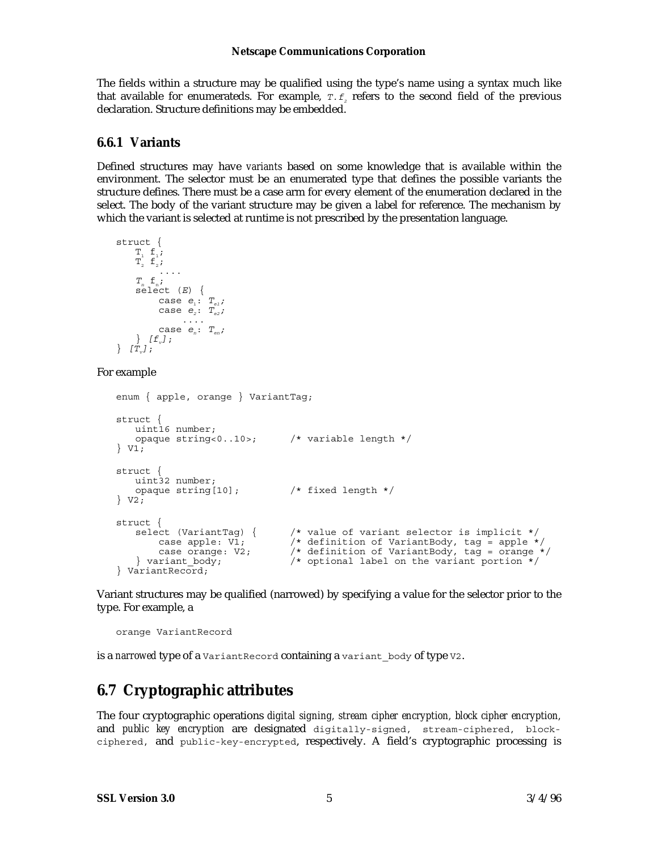The fields within a structure may be qualified using the type's name using a syntax much like that available for enumerateds. For example,  $\tau.f_{_2}$  refers to the second field of the previous declaration. Structure definitions may be embedded.

### **6.6.1 Variants**

Defined structures may have *variants* based on some knowledge that is available within the environment. The selector must be an enumerated type that defines the possible variants the structure defines. There must be a case arm for every element of the enumeration declared in the select. The body of the variant structure may be given a label for reference. The mechanism by which the variant is selected at runtime is not prescribed by the presentation language.

```
struct {
     T_1 f_1;
     T_2^{\dagger} \dot{\mathsf{F}}_2^{\dagger};
      T_{n} f_{n};
     select (E) {
      case e_i: T_{ei};
      case e_i: T_{e_2}; ....
      case e_n: T_{en};
      \} [f<sub>v</sub>];
\} [T_v];
```
#### For example

```
enum { apple, orange } VariantTag;
struct {
   uint16 number;
   opaque string<0..10>; /* variable length */
} \overline{V1};struct {
   uint32 number;<br>opaque string[10];
                               /* fixed length */
} V2;
struct {<br>select (VariantTag) {
       ect (VariantTag) { /* value of variant selector is implicit */<br>case apple: V1; /* definition of VariantBody, tag = apple *
     case apple: V1; /* definition of VariantBody, tag = apple */
     case orange: V2; /* definition of VariantBody, tag = orange */
    } variant body; \frac{1}{2} /* optional label on the variant portion */
} VariantRecord;
```
Variant structures may be qualified (narrowed) by specifying a value for the selector prior to the type. For example, a

orange VariantRecord

is a *narrowed* type of a VariantRecord containing a variant body of type V2.

### **6.7 Cryptographic attributes**

The four cryptographic operations *digital signing, stream cipher encryption, block cipher encryption,* and *public key encryption* are designated digitally-signed, stream-ciphered, blockciphered, and public-key-encrypted, respectively. A field's cryptographic processing is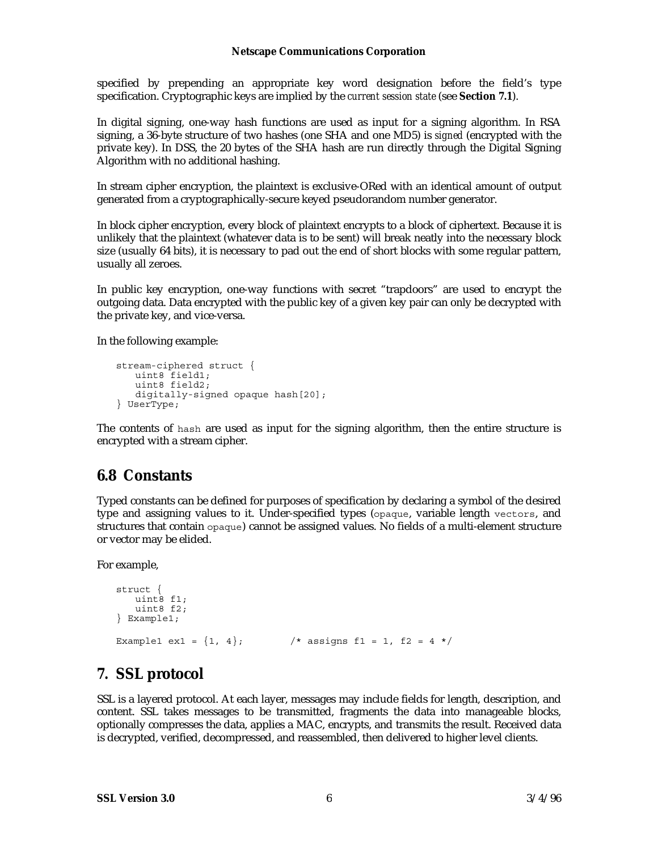specified by prepending an appropriate key word designation before the field's type specification. Cryptographic keys are implied by the *current session state* (see **Section 7.1**).

In digital signing, one-way hash functions are used as input for a signing algorithm. In RSA signing, a 36-byte structure of two hashes (one SHA and one MD5) is *signed* (encrypted with the private key). In DSS, the 20 bytes of the SHA hash are run directly through the Digital Signing Algorithm with no additional hashing.

In stream cipher encryption, the plaintext is exclusive-ORed with an identical amount of output generated from a cryptographically-secure keyed pseudorandom number generator.

In block cipher encryption, every block of plaintext encrypts to a block of ciphertext. Because it is unlikely that the plaintext (whatever data is to be sent) will break neatly into the necessary block size (usually 64 bits), it is necessary to pad out the end of short blocks with some regular pattern, usually all zeroes.

In public key encryption, one-way functions with secret "trapdoors" are used to encrypt the outgoing data. Data encrypted with the public key of a given key pair can only be decrypted with the private key, and vice-versa.

In the following example:

```
stream-ciphered struct {
   uint8 field1;
   uint8 field2;
   digitally-signed opaque hash[20];
} UserType;
```
The contents of hash are used as input for the signing algorithm, then the entire structure is encrypted with a stream cipher.

### **6.8 Constants**

Typed constants can be defined for purposes of specification by declaring a symbol of the desired type and assigning values to it. Under-specified types (opaque, variable length vectors, and structures that contain opaque) cannot be assigned values. No fields of a multi-element structure or vector may be elided.

For example,

```
struct {
   uint<sup>8</sup> f1;
   uint8 f2;
} Example1;
Example1 ex1 = \{1, 4\}; /* assigns f1 = 1, f2 = 4 */
```
### **7. SSL protocol**

SSL is a layered protocol. At each layer, messages may include fields for length, description, and content. SSL takes messages to be transmitted, fragments the data into manageable blocks, optionally compresses the data, applies a MAC, encrypts, and transmits the result. Received data is decrypted, verified, decompressed, and reassembled, then delivered to higher level clients.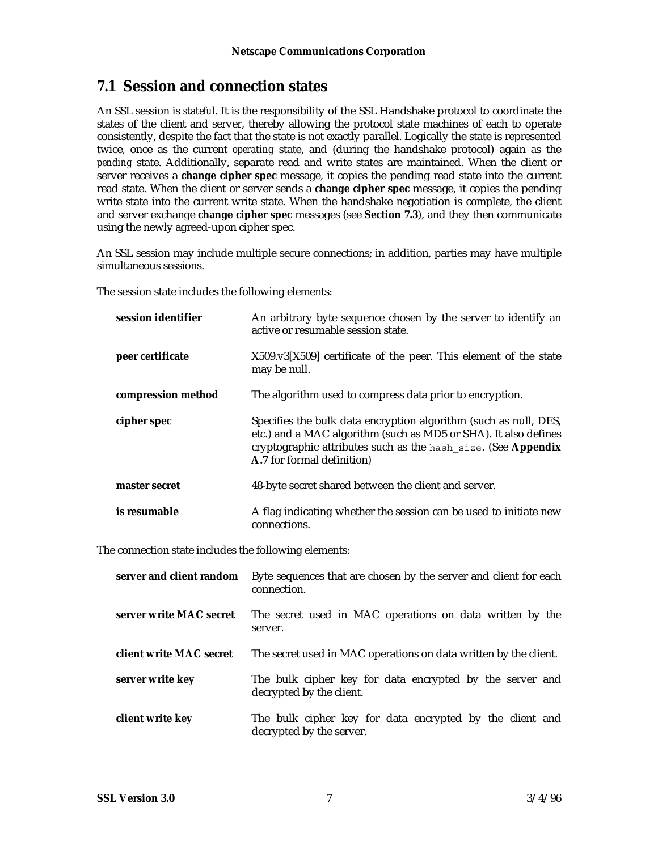### **7.1 Session and connection states**

An SSL session is *stateful*. It is the responsibility of the SSL Handshake protocol to coordinate the states of the client and server, thereby allowing the protocol state machines of each to operate consistently, despite the fact that the state is not exactly parallel. Logically the state is represented twice, once as the current *operating* state, and (during the handshake protocol) again as the *pending* state. Additionally, separate read and write states are maintained. When the client or server receives a **change cipher spec** message, it copies the pending read state into the current read state. When the client or server sends a **change cipher spec** message, it copies the pending write state into the current write state. When the handshake negotiation is complete, the client and server exchange **change cipher spec** messages (see **Section 7.3**), and they then communicate using the newly agreed-upon cipher spec.

An SSL session may include multiple secure connections; in addition, parties may have multiple simultaneous sessions.

The session state includes the following elements:

| session identifier | An arbitrary byte sequence chosen by the server to identify an<br>active or resumable session state.                                                                                                                               |
|--------------------|------------------------------------------------------------------------------------------------------------------------------------------------------------------------------------------------------------------------------------|
| peer certificate   | X509.v3[X509] certificate of the peer. This element of the state<br>may be null.                                                                                                                                                   |
| compression method | The algorithm used to compress data prior to encryption.                                                                                                                                                                           |
| cipher spec        | Specifies the bulk data encryption algorithm (such as null, DES,<br>etc.) and a MAC algorithm (such as MD5 or SHA). It also defines<br>cryptographic attributes such as the hash size. (See Appendix<br>A.7 for formal definition) |
| master secret      | 48-byte secret shared between the client and server.                                                                                                                                                                               |
| is resumable       | A flag indicating whether the session can be used to initiate new<br>connections.                                                                                                                                                  |

The connection state includes the following elements:

| server and client random | Byte sequences that are chosen by the server and client for each<br>connection.      |
|--------------------------|--------------------------------------------------------------------------------------|
| server write MAC secret  | The secret used in MAC operations on data written by the<br>server.                  |
| client write MAC secret  | The secret used in MAC operations on data written by the client.                     |
| server write key         | The bulk cipher key for data encrypted by the server and<br>decrypted by the client. |
| client write key         | The bulk cipher key for data encrypted by the client and<br>decrypted by the server. |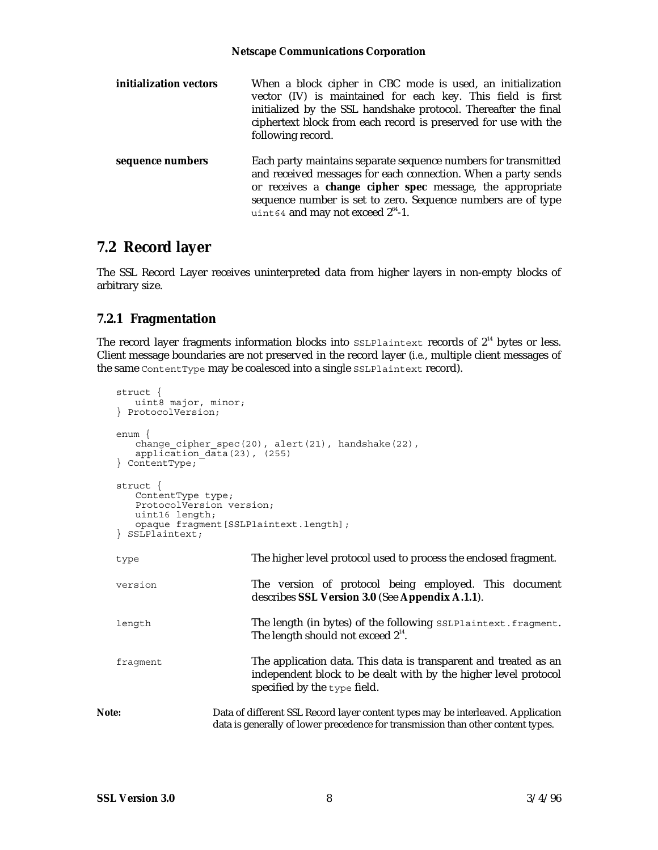| initialization vectors | When a block cipher in CBC mode is used, an initialization<br>vector (IV) is maintained for each key. This field is first<br>initialized by the SSL handshake protocol. Thereafter the final<br>ciphertext block from each record is preserved for use with the<br>following record.                    |
|------------------------|---------------------------------------------------------------------------------------------------------------------------------------------------------------------------------------------------------------------------------------------------------------------------------------------------------|
| sequence numbers       | Each party maintains separate sequence numbers for transmitted<br>and received messages for each connection. When a party sends<br>or receives a change cipher spec message, the appropriate<br>sequence number is set to zero. Sequence numbers are of type<br>uint 64 and may not exceed $2^{64}$ -1. |

### **7.2 Record layer**

The SSL Record Layer receives uninterpreted data from higher layers in non-empty blocks of arbitrary size.

### **7.2.1 Fragmentation**

The record layer fragments information blocks into  $\text{ssLPlaintext}$  records of  $2^{14}$  bytes or less. Client message boundaries are not preserved in the record layer (*i.e.*, multiple client messages of the same ContentType may be coalesced into a single SSLPlaintext record).

```
struct {
      uint8 major, minor;
   } ProtocolVersion;
   enum {
      change_cipher_spec(20), alert(21), handshake(22),
      application data(23), (255)
   } ContentType;
   struct {
      ContentType type;
      ProtocolVersion version;
      uint16 length;
      opaque fragment[SSLPlaintext.length];
   } SSLPlaintext;
   type The higher level protocol used to process the enclosed fragment.
   version The version of protocol being employed. This document
                           describes SSL Version 3.0 (See Appendix A.1.1).
   length The length (in bytes) of the following SSLPlaintext.fragment.
                            The length should not exceed 2^{14}.
   fragment The application data. This data is transparent and treated as an
                           independent block to be dealt with by the higher level protocol
                           specified by the type field.
Note: Data of different SSL Record layer content types may be interleaved. Application
                    data is generally of lower precedence for transmission than other content types.
```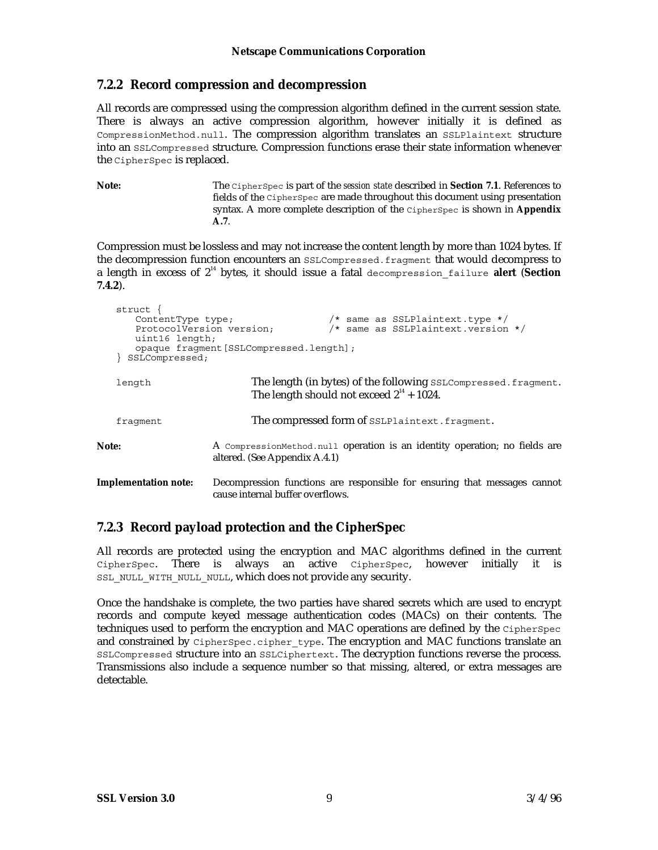### **7.2.2 Record compression and decompression**

All records are compressed using the compression algorithm defined in the current session state. There is always an active compression algorithm, however initially it is defined as CompressionMethod.null. The compression algorithm translates an SSLPlaintext structure into an SSLCompressed structure. Compression functions erase their state information whenever the CipherSpec is replaced.

**Note:** The CipherSpec is part of the *session state* described in **Section 7.1**. References to fields of the CipherSpec are made throughout this document using presentation syntax. A more complete description of the CipherSpec is shown in **Appendix A.7**.

Compression must be lossless and may not increase the content length by more than 1024 bytes. If the decompression function encounters an SSLCompressed.fragment that would decompress to a length in excess of 214 bytes, it should issue a fatal decompression\_failure **alert** (**Section 7.4.2**).

| struct ·<br>ContentType type;<br>uint16 length;<br>SSLCompressed; | $/*$ same as SSLPlaintext.type $*/$<br>/* same as SSLPlaintext.version */<br>ProtocolVersion version;<br>opaque fraqment [SSLCompressed.length]; |
|-------------------------------------------------------------------|--------------------------------------------------------------------------------------------------------------------------------------------------|
| length                                                            | The length (in bytes) of the following SSLCompressed. fragment.<br>The length should not exceed $2^{14}$ + 1024.                                 |
| fraqment                                                          | The compressed form of SSLPlaintext.fragment.                                                                                                    |
| Note:                                                             | A compression Method null operation is an identity operation; no fields are<br>altered. (See Appendix A.4.1)                                     |
| <b>Implementation note:</b>                                       | Decompression functions are responsible for ensuring that messages cannot<br>cause internal buffer overflows.                                    |

### **7.2.3 Record payload protection and the CipherSpec**

All records are protected using the encryption and MAC algorithms defined in the current CipherSpec. There is always an active CipherSpec, however initially it is SSL\_NULL\_WITH\_NULL\_NULL, which does not provide any security.

Once the handshake is complete, the two parties have shared secrets which are used to encrypt records and compute keyed message authentication codes (MACs) on their contents. The techniques used to perform the encryption and MAC operations are defined by the CipherSpec and constrained by CipherSpec.cipher\_type. The encryption and MAC functions translate an SSLCompressed structure into an SSLCiphertext. The decryption functions reverse the process. Transmissions also include a sequence number so that missing, altered, or extra messages are detectable.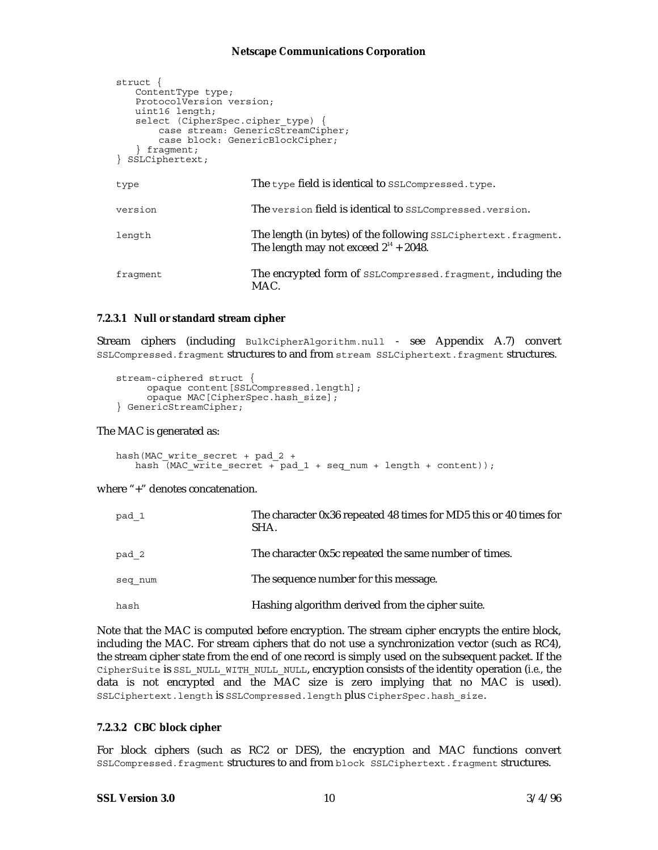```
struct {
   ContentType type;
   ProtocolVersion version;
   uint16 length;
   select (CipherSpec.cipher_type) {
    case stream: GenericStreamCipher;
    case block: GenericBlockCipher;
   } fragment;
} SSLCiphertext;
type The type field is identical to SSLCompressed.type.
version The version field is identical to SSLCompressed.version.
length The length (in bytes) of the following SSLCiphertext.fragment.
                      The length may not exceed 2^{14} + 2048.
fragment The encrypted form of SSLCompressed.fragment, including the
                      MAC.
```
#### **7.2.3.1 Null or standard stream cipher**

Stream ciphers (including BulkCipherAlgorithm.null - see Appendix A.7) convert SSLCompressed.fragment structures to and from stream SSLCiphertext.fragment structures.

```
stream-ciphered struct {
      opaque content[SSLCompressed.length];
      opaque MAC[CipherSpec.hash_size];
} GenericStreamCipher;
```
The MAC is generated as:

```
hash(MAC_write_secret + pad_2 +
    hash \sqrt{MAC_w\text{rite\_secret}} + \text{pad}_1 + \text{seq\_num} + \text{length} + \text{content}};
```
where "+" denotes concatenation.

| pad 1   | The character 0x36 repeated 48 times for MD5 this or 40 times for<br>SHA. |
|---------|---------------------------------------------------------------------------|
| pad 2   | The character 0x5c repeated the same number of times.                     |
| seq num | The sequence number for this message.                                     |
| hash    | Hashing algorithm derived from the cipher suite.                          |

Note that the MAC is computed before encryption. The stream cipher encrypts the entire block, including the MAC. For stream ciphers that do not use a synchronization vector (such as RC4), the stream cipher state from the end of one record is simply used on the subsequent packet. If the CipherSuite is SSL\_NULL\_WITH\_NULL\_NULL, encryption consists of the identity operation (*i.e.,* the data is not encrypted and the MAC size is zero implying that no MAC is used). SSLCiphertext.length is SSLCompressed.length plus CipherSpec.hash\_size.

#### **7.2.3.2 CBC block cipher**

For block ciphers (such as RC2 or DES), the encryption and MAC functions convert SSLCompressed.fragment structures to and from block SSLCiphertext.fragment structures.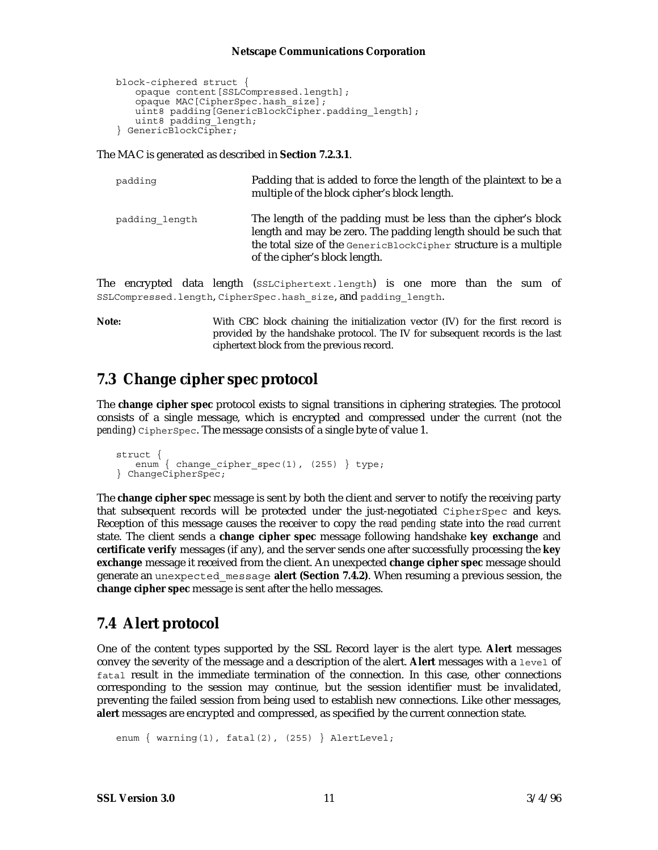```
block-ciphered struct {
   opaque content[SSLCompressed.length];
   opaque MAC[CipherSpec.hash_size];
   uint8 padding[GenericBlockCipher.padding_length];
   uint8 padding_length;
} GenericBlockCipher;
```
The MAC is generated as described in **Section 7.2.3.1**.

| padding        | Padding that is added to force the length of the plaintext to be a<br>multiple of the block cipher's block length.                                                                                                                    |
|----------------|---------------------------------------------------------------------------------------------------------------------------------------------------------------------------------------------------------------------------------------|
| padding length | The length of the padding must be less than the cipher's block<br>length and may be zero. The padding length should be such that<br>the total size of the GenericBlockCipher structure is a multiple<br>of the cipher's block length. |

The encrypted data length (SSLCiphertext.length) is one more than the sum of SSLCompressed.length, CipherSpec.hash size, and padding length.

**Note:** With CBC block chaining the initialization vector (IV) for the first record is provided by the handshake protocol. The IV for subsequent records is the last ciphertext block from the previous record.

### **7.3 Change cipher spec protocol**

The **change cipher spec** protocol exists to signal transitions in ciphering strategies. The protocol consists of a single message, which is encrypted and compressed under the *current* (not the *pending*) CipherSpec. The message consists of a single byte of value 1.

```
struct {
   enum { change_cipher_spec(1), (255) } type;
} ChangeCipherSpec;
```
The **change cipher spec** message is sent by both the client and server to notify the receiving party that subsequent records will be protected under the just-negotiated CipherSpec and keys. Reception of this message causes the receiver to copy the *read pending* state into the *read current* state. The client sends a **change cipher spec** message following handshake **key exchange** and **certificate verify** messages (if any), and the server sends one after successfully processing the **key exchange** message it received from the client. An unexpected **change cipher spec** message should generate an unexpected\_message **alert (Section 7.4.2)**. When resuming a previous session, the **change cipher spec** message is sent after the hello messages.

### **7.4 Alert protocol**

One of the content types supported by the SSL Record layer is the *alert* type. **Alert** messages convey the severity of the message and a description of the alert. **Alert** messages with a level of fatal result in the immediate termination of the connection. In this case, other connections corresponding to the session may continue, but the session identifier must be invalidated, preventing the failed session from being used to establish new connections. Like other messages, **alert** messages are encrypted and compressed, as specified by the current connection state.

enum { warning(1), fatal(2), (255) } AlertLevel;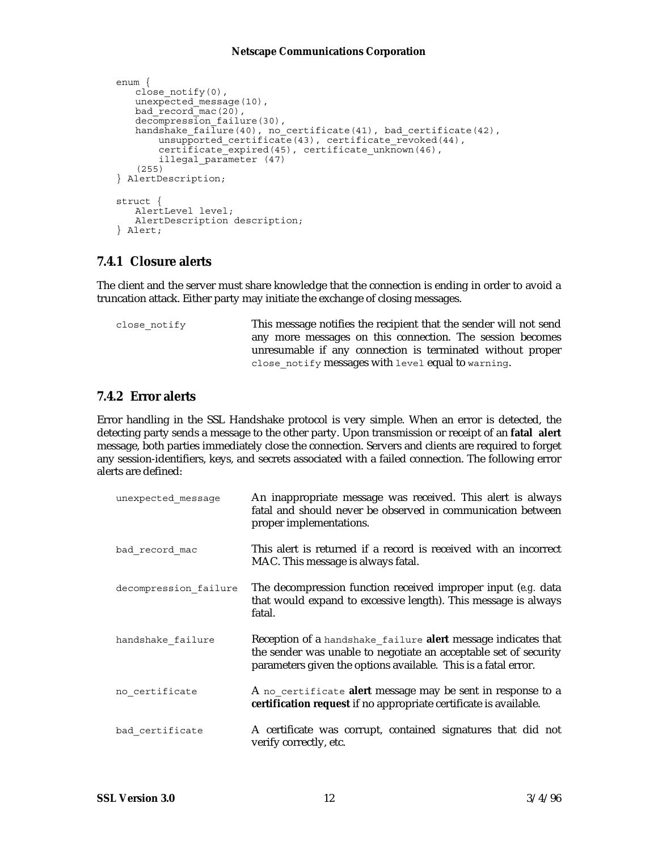```
enum {
   close_notify(0),
   unexpected_message(10),
   bad_record_mac(20),
   decompression failure(30),
   handshake fai\bar{1}ure(40), no certificate(41), bad certificate(42),
   unsupported certificate(43), certificate revoked(44),
        certificate_expired(45), certificate_unknown(46),
        illegal_parameter (47)
   (255)
} AlertDescription;
struct {
   AlertLevel level;
   AlertDescription description;
} Alert;
```
### **7.4.1 Closure alerts**

The client and the server must share knowledge that the connection is ending in order to avoid a truncation attack. Either party may initiate the exchange of closing messages.

```
close_notify This message notifies the recipient that the sender will not send
                         any more messages on this connection. The session becomes
                         unresumable if any connection is terminated without proper
                         close notify messages with level equal to warning.
```
### **7.4.2 Error alerts**

Error handling in the SSL Handshake protocol is very simple. When an error is detected, the detecting party sends a message to the other party. Upon transmission or receipt of an **fatal alert** message, both parties immediately close the connection. Servers and clients are required to forget any session-identifiers, keys, and secrets associated with a failed connection. The following error alerts are defined:

| unexpected message    | An inappropriate message was received. This alert is always<br>fatal and should never be observed in communication between<br>proper implementations.                                               |
|-----------------------|-----------------------------------------------------------------------------------------------------------------------------------------------------------------------------------------------------|
| bad record mac        | This alert is returned if a record is received with an incorrect<br>MAC. This message is always fatal.                                                                                              |
| decompression failure | The decompression function received improper input (e.g. data<br>that would expand to excessive length). This message is always<br>fatal.                                                           |
| handshake failure     | Reception of a handshake_failure alert message indicates that<br>the sender was unable to negotiate an acceptable set of security<br>parameters given the options available. This is a fatal error. |
| no certificate        | A no_certificate alert message may be sent in response to a<br>certification request if no appropriate certificate is available.                                                                    |
| bad_certificate       | A certificate was corrupt, contained signatures that did not<br>verify correctly, etc.                                                                                                              |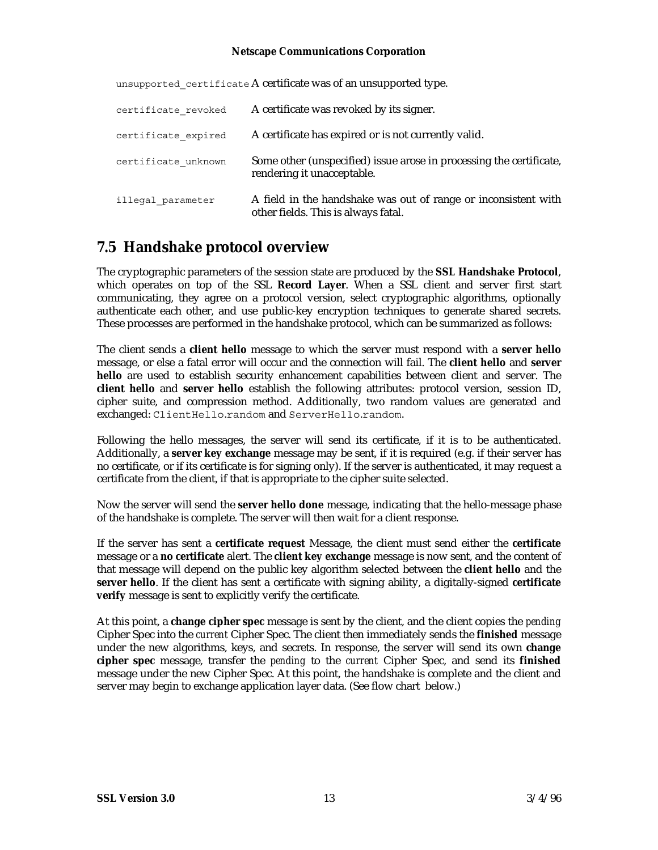| certificate revoked | A certificate was revoked by its signer.                                                              |
|---------------------|-------------------------------------------------------------------------------------------------------|
| certificate expired | A certificate has expired or is not currently valid.                                                  |
| certificate unknown | Some other (unspecified) issue arose in processing the certificate,<br>rendering it unacceptable.     |
| illegal parameter   | A field in the handshake was out of range or inconsistent with<br>other fields. This is always fatal. |

unsupported certificate A certificate was of an unsupported type.

### **7.5 Handshake protocol overview**

The cryptographic parameters of the session state are produced by the **SSL Handshake Protocol**, which operates on top of the SSL **Record Layer**. When a SSL client and server first start communicating, they agree on a protocol version, select cryptographic algorithms, optionally authenticate each other, and use public-key encryption techniques to generate shared secrets. These processes are performed in the handshake protocol, which can be summarized as follows:

The client sends a **client hello** message to which the server must respond with a **server hello** message, or else a fatal error will occur and the connection will fail. The **client hello** and **server hello** are used to establish security enhancement capabilities between client and server. The **client hello** and **server hello** establish the following attributes: protocol version, session ID, cipher suite, and compression method. Additionally, two random values are generated and exchanged: ClientHello.random and ServerHello.random.

Following the hello messages, the server will send its certificate, if it is to be authenticated. Additionally, a **server key exchange** message may be sent, if it is required (e.g. if their server has no certificate, or if its certificate is for signing only). If the server is authenticated, it may request a certificate from the client, if that is appropriate to the cipher suite selected.

Now the server will send the **server hello done** message, indicating that the hello-message phase of the handshake is complete. The server will then wait for a client response.

If the server has sent a **certificate request** Message, the client must send either the **certificate** message or a **no certificate** alert. The **client key exchange** message is now sent, and the content of that message will depend on the public key algorithm selected between the **client hello** and the **server hello**. If the client has sent a certificate with signing ability, a digitally-signed **certificate verify** message is sent to explicitly verify the certificate.

At this point, a **change cipher spec** message is sent by the client, and the client copies the *pending* Cipher Spec into the *current* Cipher Spec. The client then immediately sends the **finished** message under the new algorithms, keys, and secrets. In response, the server will send its own **change cipher spec** message, transfer the *pending* to the *current* Cipher Spec, and send its **finished** message under the new Cipher Spec. At this point, the handshake is complete and the client and server may begin to exchange application layer data. (See flow chart below.)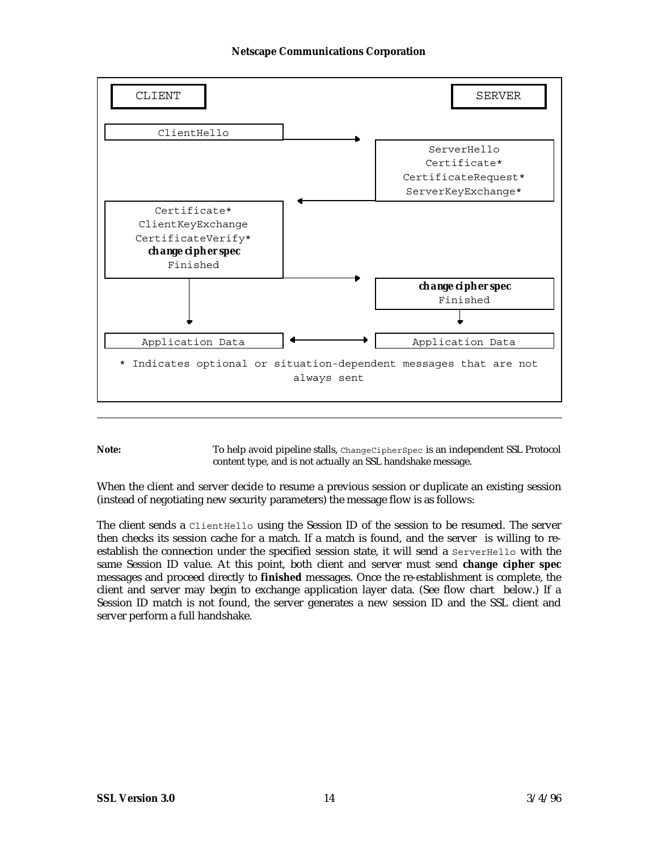

**Note:** To help avoid pipeline stalls, ChangeCipherSpec is an independent SSL Protocol content type, and is not actually an SSL handshake message.

When the client and server decide to resume a previous session or duplicate an existing session (instead of negotiating new security parameters) the message flow is as follows:

The client sends a ClientHello using the Session ID of the session to be resumed. The server then checks its session cache for a match. If a match is found, and the server is willing to reestablish the connection under the specified session state, it will send a ServerHello with the same Session ID value. At this point, both client and server must send **change cipher spec** messages and proceed directly to **finished** messages. Once the re-establishment is complete, the client and server may begin to exchange application layer data. (See flow chart below.) If a Session ID match is not found, the server generates a new session ID and the SSL client and server perform a full handshake.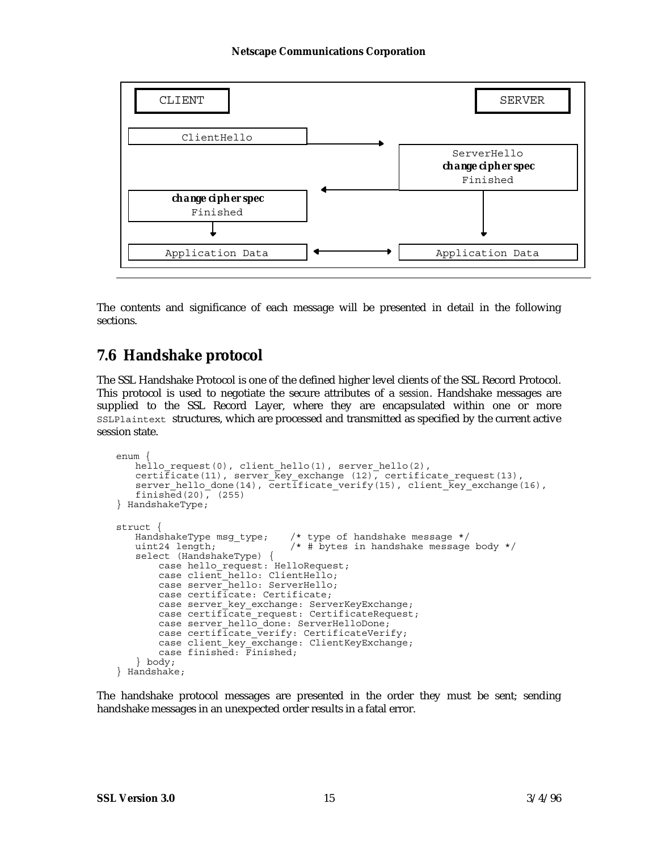

The contents and significance of each message will be presented in detail in the following sections.

### **7.6 Handshake protocol**

The SSL Handshake Protocol is one of the defined higher level clients of the SSL Record Protocol. This protocol is used to negotiate the secure attributes of a *session*. Handshake messages are supplied to the SSL Record Layer, where they are encapsulated within one or more SSLPlaintext structures, which are processed and transmitted as specified by the current active session state.

```
enum {
    hello request(0), client hello(1), server hello(2),
    certificate(11), server \overline{\text{key}} exchange (12), certificate request(13),
    server hello done(14), certificate verify(15), client \overline{\text{key}} exchange(16),
    finished(20), (255)} HandshakeType;
struct {<br>HandshakeType msg_type;
                                       /* type of handshake message */uint24 length; \frac{1}{2} \frac{1}{2} \frac{1}{2} \frac{1}{2} \frac{1}{2} \frac{1}{2} \frac{1}{2} \frac{1}{2} \frac{1}{2} \frac{1}{2} \frac{1}{2} \frac{1}{2} \frac{1}{2} \frac{1}{2} \frac{1}{2} \frac{1}{2} \frac{1}{2} \frac{1}{2} \frac{1}{2} \frac{1}{2} \frac{1}{select (HandshakeType) {
    case hello request: HelloRequest;
         case client hello: ClientHello;
         case server_hello: ServerHello;
          case certificate: Certificate;
         case server key exchange: ServerKeyExchange;
          case certificate_request: CertificateRequest;
         case server hello done: ServerHelloDone;
         case certificate \overline{v}erify: CertificateVerify;
    case client key exchange: ClientKeyExchange;
     case finished: Finished;
    } body;
} Handshake;
```
The handshake protocol messages are presented in the order they must be sent; sending handshake messages in an unexpected order results in a fatal error.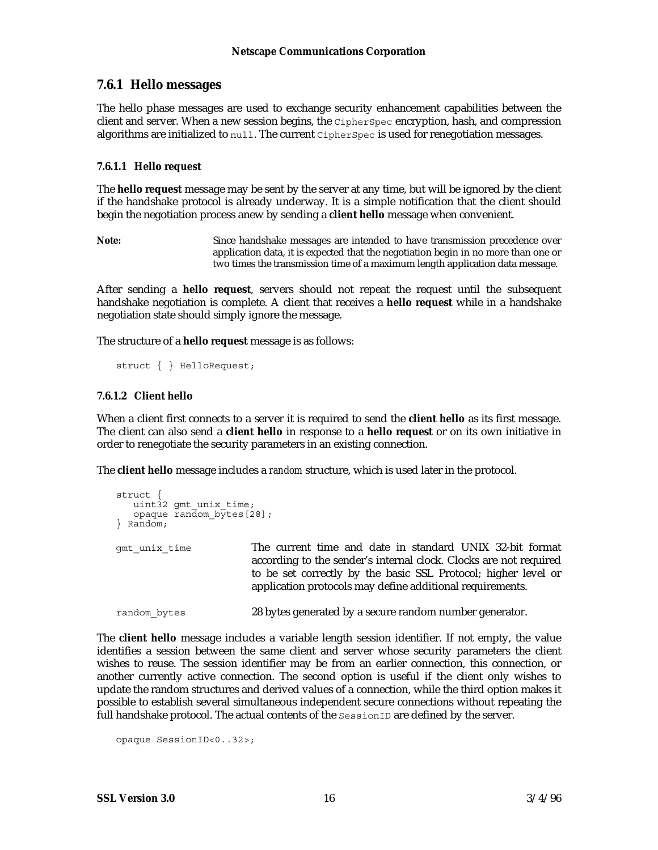### **7.6.1 Hello messages**

The hello phase messages are used to exchange security enhancement capabilities between the client and server. When a new session begins, the CipherSpec encryption, hash, and compression algorithms are initialized to null. The current CipherSpec is used for renegotiation messages.

#### **7.6.1.1 Hello request**

The **hello request** message may be sent by the server at any time, but will be ignored by the client if the handshake protocol is already underway. It is a simple notification that the client should begin the negotiation process anew by sending a **client hello** message when convenient.

**Note:** Since handshake messages are intended to have transmission precedence over application data, it is expected that the negotiation begin in no more than one or two times the transmission time of a maximum length application data message.

After sending a **hello request**, servers should not repeat the request until the subsequent handshake negotiation is complete. A client that receives a **hello request** while in a handshake negotiation state should simply ignore the message.

The structure of a **hello request** message is as follows:

```
struct { } HelloRequest;
```
#### **7.6.1.2 Client hello**

When a client first connects to a server it is required to send the **client hello** as its first message. The client can also send a **client hello** in response to a **hello request** or on its own initiative in order to renegotiate the security parameters in an existing connection.

The **client hello** message includes a *random* structure, which is used later in the protocol.

```
struct {
   uint32 qmt unix time;
   opaque ran\overline{d}om bytes[28];
} Random;
gmt unix time The current time and date in standard UNIX 32-bit format
                         according to the sender's internal clock. Clocks are not required
                         to be set correctly by the basic SSL Protocol; higher level or
                         application protocols may define additional requirements.
random bytes 28 bytes generated by a secure random number generator.
```
The **client hello** message includes a variable length session identifier. If not empty, the value identifies a session between the same client and server whose security parameters the client wishes to reuse. The session identifier may be from an earlier connection, this connection, or another currently active connection. The second option is useful if the client only wishes to update the random structures and derived values of a connection, while the third option makes it possible to establish several simultaneous independent secure connections without repeating the full handshake protocol. The actual contents of the sessionID are defined by the server.

```
opaque SessionID<0..32>;
```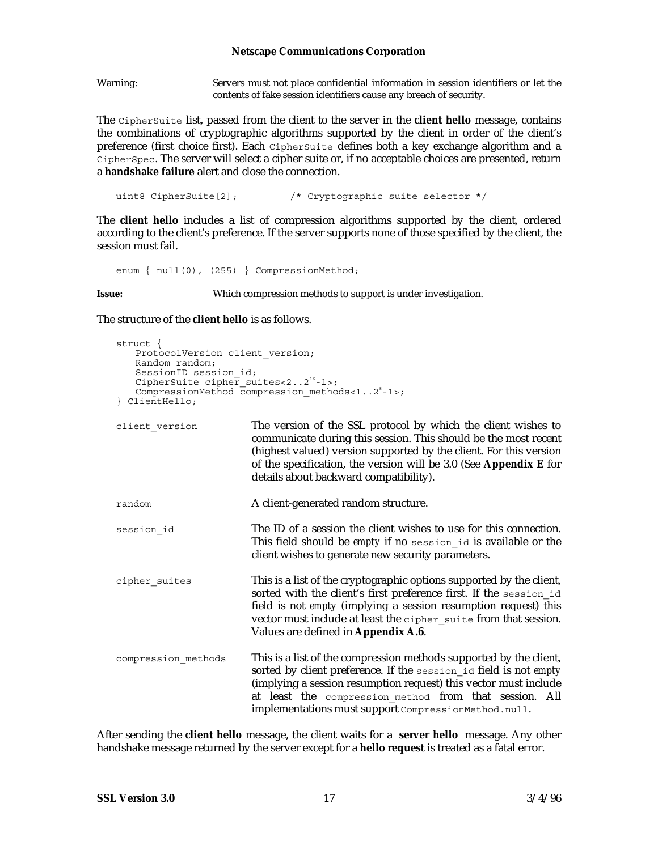Warning: Servers must not place confidential information in session identifiers or let the contents of fake session identifiers cause any breach of security.

The CipherSuite list, passed from the client to the server in the **client hello** message, contains the combinations of cryptographic algorithms supported by the client in order of the client's preference (first choice first). Each CipherSuite defines both a key exchange algorithm and a CipherSpec. The server will select a cipher suite or, if no acceptable choices are presented, return a **handshake failure** alert and close the connection.

uint8 CipherSuite[2];  $\sqrt{\phantom{a}}$  Cryptographic suite selector  $\prime$ /

The **client hello** includes a list of compression algorithms supported by the client, ordered according to the client's preference. If the server supports none of those specified by the client, the session must fail.

enum { null(0), (255) } CompressionMethod;

**Issue:** Which compression methods to support is under investigation.

The structure of the **client hello** is as follows.

```
struct {
   ProtocolVersion client_version;
   Random random;
   SessionID session_id;
   CipherSuite cipher suites<2..2<sup>16</sup>-1>;
   CompressionMethod compression methods<1..2<sup>8</sup>-1>;
} ClientHello;
client version The version of the SSL protocol by which the client wishes to
                          communicate during this session. This should be the most recent
                          (highest valued) version supported by the client. For this version
                          of the specification, the version will be 3.0 (See Appendix E for
                          details about backward compatibility).
random A client-generated random structure.
session id The ID of a session the client wishes to use for this connection.
                          This field should be empty if no session_id is available or the
                          client wishes to generate new security parameters.
cipher suites This is a list of the cryptographic options supported by the client,
                          sorted with the client's first preference first. If the session id
                          field is not empty (implying a session resumption request) this
                          vector must include at least the cipher suite from that session.
                          Values are defined in Appendix A.6.
compression_methods This is a list of the compression methods supported by the client,
                          sorted by client preference. If the session_id field is not empty
                          (implying a session resumption request) this vector must include
                          at least the compression_method from that session. All
                          implementations must support CompressionMethod.null.
```
After sending the **client hello** message, the client waits for a **server hello** message. Any other handshake message returned by the server except for a **hello request** is treated as a fatal error.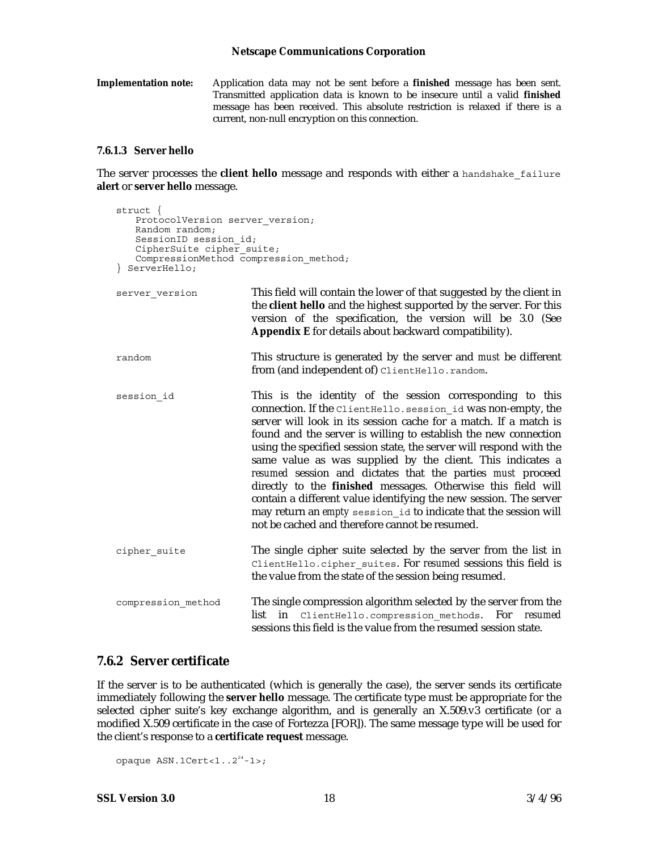**Implementation note:** Application data may not be sent before a **finished** message has been sent. Transmitted application data is known to be insecure until a valid **finished** message has been received. This absolute restriction is relaxed if there is a current, non-null encryption on this connection.

#### **7.6.1.3 Server hello**

The server processes the **client hello** message and responds with either a handshake\_failure **alert** or **server hello** message.

```
struct {
   ProtocolVersion server version;
   Random random;
   SessionID session_id;
   CipherSuite cipher suite;
   CompressionMethod compression method;
} ServerHello;
server version This field will contain the lower of that suggested by the client in
                          the client hello and the highest supported by the server. For this
                          version of the specification, the version will be 3.0 (See
                          Appendix E for details about backward compatibility).
random This structure is generated by the server and must be different
                          from (and independent of) ClientHello.random.
session id This is the identity of the session corresponding to this
                         connection. If the ClientHello.session_id was non-empty, the
                         server will look in its session cache for a match. If a match is
                         found and the server is willing to establish the new connection
                         using the specified session state, the server will respond with the
                         same value as was supplied by the client. This indicates a
                         resumed session and dictates that the parties must proceed
                         directly to the finished messages. Otherwise this field will
                         contain a different value identifying the new session. The server
                          may return an empty session_id to indicate that the session will
                          not be cached and therefore cannot be resumed.
cipher suite The single cipher suite selected by the server from the list in
                          ClientHello.cipher_suites. For resumed sessions this field is
                          the value from the state of the session being resumed.
compression method The single compression algorithm selected by the server from the
                          list in ClientHello.compression_methods. For resumed
                         sessions this field is the value from the resumed session state.
```
#### **7.6.2 Server certificate**

If the server is to be authenticated (which is generally the case), the server sends its certificate immediately following the **server hello** message. The certificate type must be appropriate for the selected cipher suite's key exchange algorithm, and is generally an X.509.v3 certificate (or a modified X.509 certificate in the case of Fortezza [FOR]). The same message type will be used for the client's response to a **certificate request** message.

```
opaque ASN.1Cert < 1.2<sup>24</sup>-1>;
```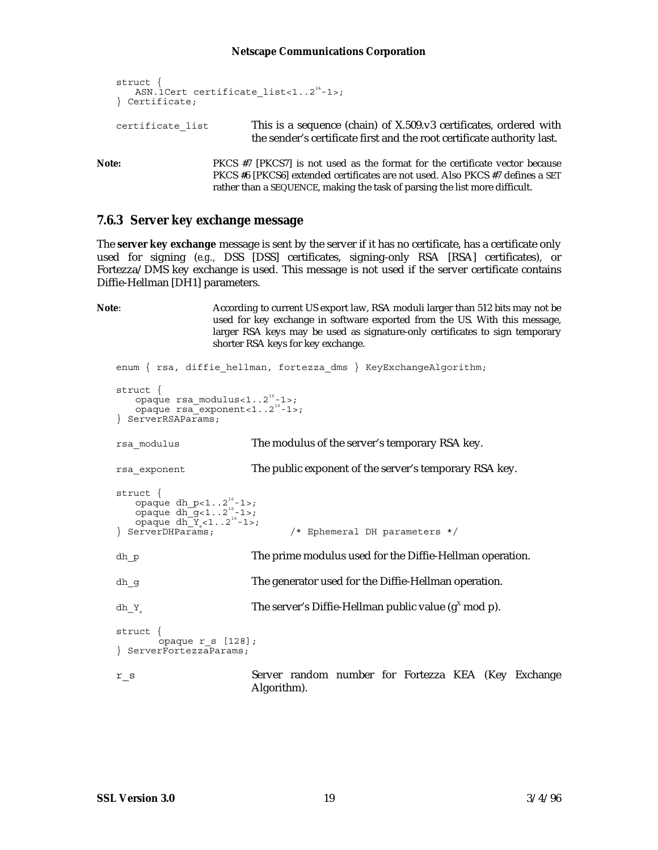struct { ASN.1Cert certificate list<1..2<sup>24</sup>-1>; } Certificate; certificate list This is a sequence (chain) of X.509.v3 certificates, ordered with the sender's certificate first and the root certificate authority last.

Note: PKCS #7 [PKCS7] is not used as the format for the certificate vector because PKCS #6 [PKCS6] extended certificates are not used. Also PKCS #7 defines a SET rather than a SEQUENCE, making the task of parsing the list more difficult.

#### **7.6.3 Server key exchange message**

The **server key exchange** message is sent by the server if it has no certificate, has a certificate only used for signing (*e.g.,* DSS [DSS] certificates, signing-only RSA [RSA] certificates), or Fortezza/DMS key exchange is used. This message is not used if the server certificate contains Diffie-Hellman [DH1] parameters.

**Note**: According to current US export law, RSA moduli larger than 512 bits may not be used for key exchange in software exported from the US. With this message, larger RSA keys may be used as signature-only certificates to sign temporary shorter RSA keys for key exchange.

```
enum { rsa, diffie hellman, fortezza dms } KeyExchangeAlgorithm;
struct {
   opaque rsa_modulus<1..216-1>;
   \overline{opaque} rsa<sup>-</sup>exponent<1..2<sup>16</sup>-1>;
} ServerRSAParams;
rsa modulus The modulus of the server's temporary RSA key.
rsa exponent The public exponent of the server's temporary RSA key.
struct {
   opaque dh_p<1..2<sup>16</sup>-1>;
   opaque dh_g(1 \ldots 2^{16}-1);
opaque dh_Y<sub>s</sub><1..2<sup>16-1</sup>>;<br>} ServerDHParams;
                                /* Ephemeral DH parameters */
dh p The prime modulus used for the Diffie-Hellman operation.
dh_g The generator used for the Diffie-Hellman operation.
dh_Ys The server's Diffie-Hellman public value (gX
 mod p).
struct {
        opaque r_s [128];
} ServerFortezzaParams;
r_s Server random number for Fortezza KEA (Key Exchange
                         Algorithm).
```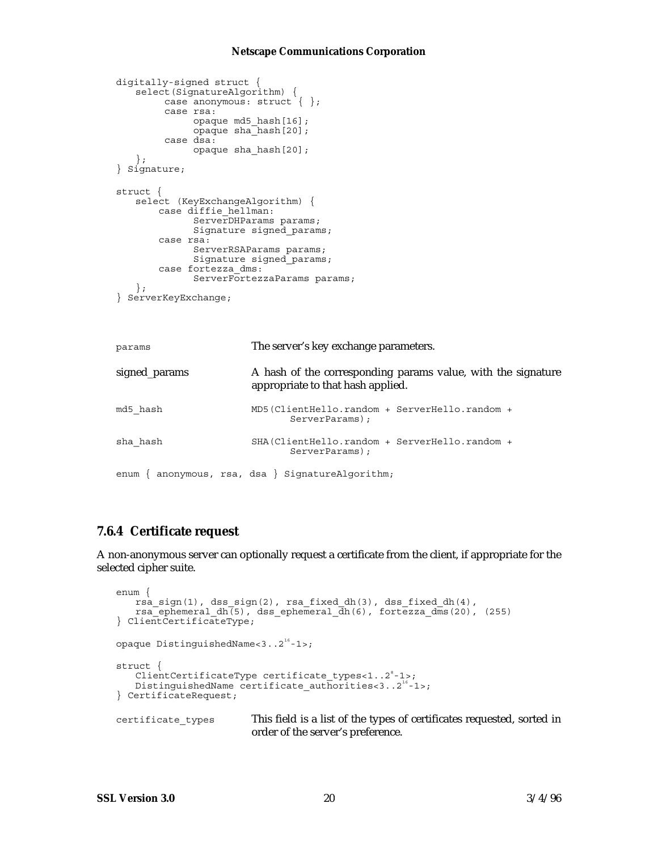```
digitally-signed struct {
   select(SignatureAlgorithm) {
        case anonymous: struct \{\ \};
         case rsa:
              opaque md5_hash[16];
              opaque sha_hash[20];
         case dsa:
              opaque sha_hash[20];
   };
} Signature;
struct {
   select (KeyExchangeAlgorithm) {
        case diffie_hellman:
              ServerDHParams params;
              Signature signed_params;
        case rsa:
              ServerRSAParams params;
              Signature signed_params;
        case fortezza_dms:
             ServerFortezzaParams params;
   };
} ServerKeyExchange;
params The server's key exchange parameters.
signed_params A hash of the corresponding params value, with the signature
                        appropriate to that hash applied.
```

| md5 hash | MD5(ClientHello.random + ServerHello.random +<br>ServerParams): |  |
|----------|-----------------------------------------------------------------|--|
| sha hash | SHA(ClientHello.random + ServerHello.random +<br>ServerParams): |  |

```
enum { anonymous, rsa, dsa } SignatureAlgorithm;
```
### **7.6.4 Certificate request**

A non-anonymous server can optionally request a certificate from the client, if appropriate for the selected cipher suite.

```
enum {
    rsa_sign(1), dss_sign(2), rsa_fixed_dh(3), dss_fixed_dh(4),
    rsa<sup>-</sup>ephemeral dh(5), dss ephemeral \overline{dh}(6), fortezza dms(20), (255)
} ClientCertificateType;
opaque DistinguishedName<3..2<sup>16</sup>-1>;
struct {
    ClientCertificateType certificate types<1..2°-1>;
   DistinguishedName certificate authorities<3..2<sup>16</sup>-1>;
} CertificateRequest;
certificate types This field is a list of the types of certificates requested, sorted in
                           order of the server's preference.
```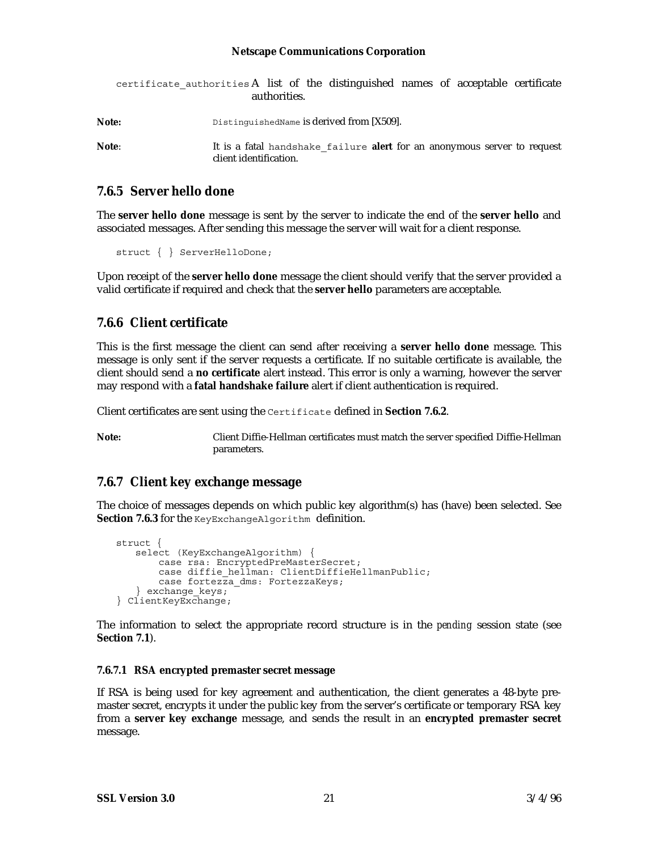|       | certificate authorities A list of the distinguished names of acceptable certificate<br>authorities.       |
|-------|-----------------------------------------------------------------------------------------------------------|
| Note: | DistinguishedName is derived from [X509].                                                                 |
| Note: | It is a fatal handshake failure <b>alert</b> for an anonymous server to request<br>client identification. |

#### **7.6.5 Server hello done**

The **server hello done** message is sent by the server to indicate the end of the **server hello** and associated messages. After sending this message the server will wait for a client response.

struct { } ServerHelloDone;

Upon receipt of the **server hello done** message the client should verify that the server provided a valid certificate if required and check that the **server hello** parameters are acceptable.

### **7.6.6 Client certificate**

This is the first message the client can send after receiving a **server hello done** message. This message is only sent if the server requests a certificate. If no suitable certificate is available, the client should send a **no certificate** alert instead. This error is only a warning, however the server may respond with a **fatal handshake failure** alert if client authentication is required.

Client certificates are sent using the Certificate defined in **Section 7.6.2**.

**Note:** Client Diffie-Hellman certificates must match the server specified Diffie-Hellman parameters.

### **7.6.7 Client key exchange message**

The choice of messages depends on which public key algorithm(s) has (have) been selected. See Section 7.6.3 for the KeyExchangeAlgorithm definition.

```
struct {
   select (KeyExchangeAlgorithm) {
        case rsa: EncryptedPreMasterSecret;
        case diffie hellman: ClientDiffieHellmanPublic;
       case fortezza dms: FortezzaKeys;
} exchange_keys; } ClientKeyExchange;
```
The information to select the appropriate record structure is in the *pending* session state (see **Section 7.1**).

#### **7.6.7.1 RSA encrypted premaster secret message**

If RSA is being used for key agreement and authentication, the client generates a 48-byte premaster secret, encrypts it under the public key from the server's certificate or temporary RSA key from a **server key exchange** message, and sends the result in an **encrypted premaster secret** message.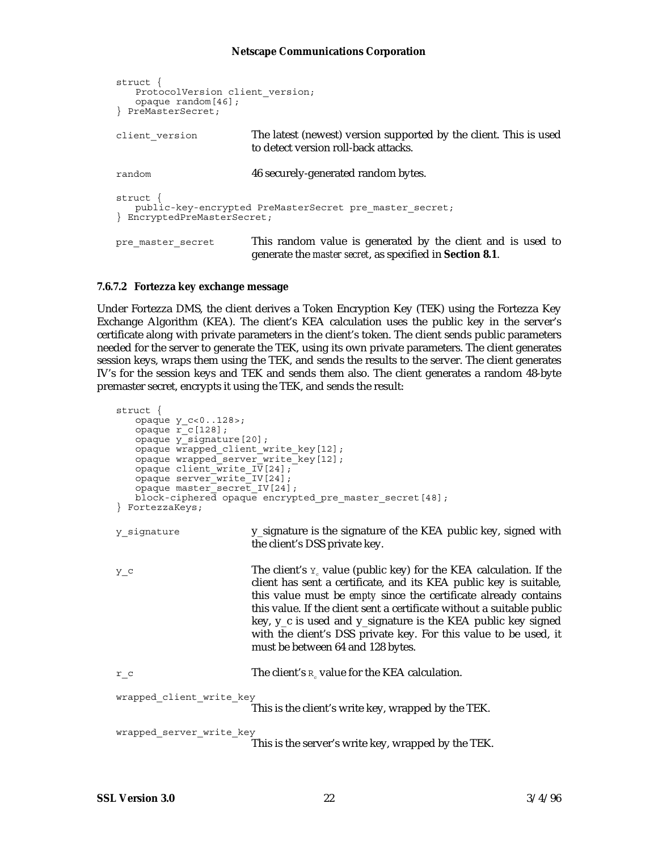```
struct {
   ProtocolVersion client_version;
   opaque random[46];
} PreMasterSecret;
client version The latest (newest) version supported by the client. This is used
                        to detect version roll-back attacks.
random 46 securely-generated random bytes.
struct {
   public-key-encrypted PreMasterSecret pre_master_secret;
} EncryptedPreMasterSecret;
pre_master_secret This random value is generated by the client and is used to
                        generate the master secret, as specified in Section 8.1.
```
#### **7.6.7.2 Fortezza key exchange message**

Under Fortezza DMS, the client derives a Token Encryption Key (TEK) using the Fortezza Key Exchange Algorithm (KEA). The client's KEA calculation uses the public key in the server's certificate along with private parameters in the client's token. The client sends public parameters needed for the server to generate the TEK, using its own private parameters. The client generates session keys, wraps them using the TEK, and sends the results to the server. The client generates IV's for the session keys and TEK and sends them also. The client generates a random 48-byte premaster secret, encrypts it using the TEK, and sends the result:

```
struct {
   opaque y_c<0..128>;
   opaque r c [128];
   opaque y_signature[20];
   opaque wrapped_client_write_key[12];
   opaque wrapped_server_write_key[12];
   opaque client write IV[24];
   opaque server_write_IV[24];
   opaque master_secret_IV[24];
   block-ciphered opaque encrypted pre master secret [48];
} FortezzaKeys;
y signature y_signature is the signature of the KEA public key, signed with
                         the client's DSS private key.
y_c The client's y_c value (public key) for the KEA calculation. If the
                         client has sent a certificate, and its KEA public key is suitable,
                         this value must be empty since the certificate already contains
                         this value. If the client sent a certificate without a suitable public
                         key, y_c is used and y_signature is the KEA public key signed
                         with the client's DSS private key. For this value to be used, it
                         must be between 64 and 128 bytes.
r_c The client's R_c value for the KEA calculation.
wrapped_client_write_key
                         This is the client's write key, wrapped by the TEK.
wrapped server write key
                         This is the server's write key, wrapped by the TEK.
```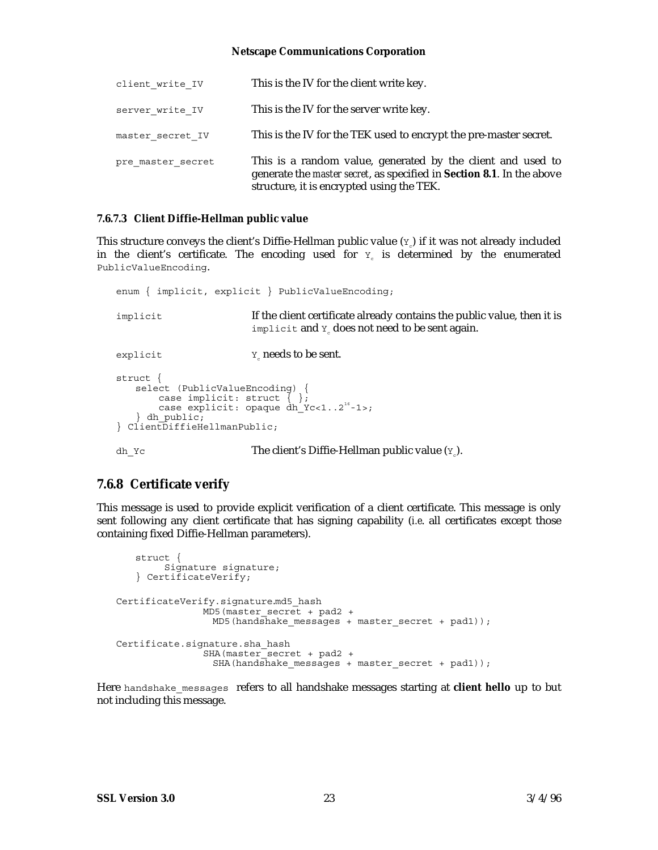| client write IV   | This is the IV for the client write key.                                                                                                                                                          |
|-------------------|---------------------------------------------------------------------------------------------------------------------------------------------------------------------------------------------------|
| server write IV   | This is the IV for the server write key.                                                                                                                                                          |
| master secret IV  | This is the IV for the TEK used to encrypt the pre-master secret.                                                                                                                                 |
| pre master secret | This is a random value, generated by the client and used to<br>generate the <i>master secret</i> , as specified in <b>Section 8.1</b> . In the above<br>structure, it is encrypted using the TEK. |

#### **7.6.7.3 Client Diffie-Hellman public value**

This structure conveys the client's Diffie-Hellman public value  $(Y_{c})$  if it was not already included in the client's certificate. The encoding used for  $Y<sub>c</sub>$  is determined by the enumerated PublicValueEncoding.

```
enum { implicit, explicit } PublicValueEncoding;
implicit If the client certificate already contains the public value, then it is
                         implicit and Y<sub>a</sub> does not need to be sent again.
\gamma needs to be sent.
struct {
   select (PublicValueEncoding) {
        case implicit: struct { };
   case explicit: opaque dh_Yc<1..2<sup>16</sup>-1>;<br>} dh public;
{} ClientDiffieHellmanPublic;
dh Yc The client's Diffie-Hellman public value (Y_c).
```
### **7.6.8 Certificate verify**

This message is used to provide explicit verification of a client certificate. This message is only sent following any client certificate that has signing capability (*i.e*. all certificates except those containing fixed Diffie-Hellman parameters).

```
struct {
         Signature signature;
   } CertificateVerify;
CertificateVerify.signature.md5_hash
               MD5(master_secret + pad2 +
                 MD5(hand\overline{s}hake_messages + master_secret + pad1));
Certificate.signature.sha_hash
               SHA(master_secret + pad2 +
                 SHA(handshake_messages + master_secret + pad1));
```
Here handshake\_messages refers to all handshake messages starting at **client hello** up to but not including this message.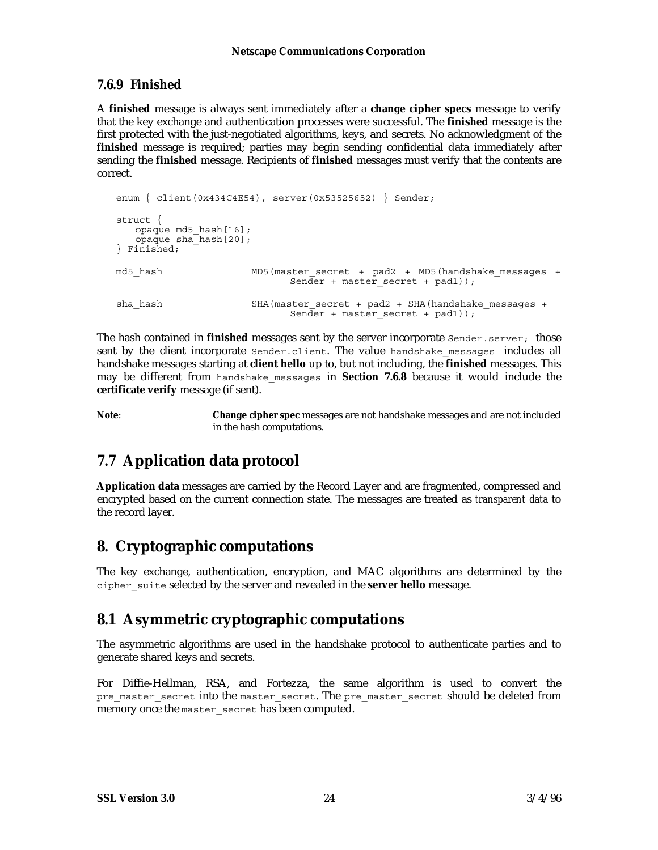### **7.6.9 Finished**

A **finished** message is always sent immediately after a **change cipher specs** message to verify that the key exchange and authentication processes were successful. The **finished** message is the first protected with the just-negotiated algorithms, keys, and secrets. No acknowledgment of the **finished** message is required; parties may begin sending confidential data immediately after sending the **finished** message. Recipients of **finished** messages must verify that the contents are correct.

```
enum { client(0x434C4E54), server(0x53525652) } Sender;
struct {
   opaque md5_hash[16];
opaque sha_hash[20]; } Finished;
md5 hash MD5(master secret + pad2 + MD5(handshake messages +
                            Sender + master_secret + pad1));
sha hash SHA(master secret + pad2 + SHA(handshake messages +
                            Sender + master_secret + pad1));
```
The hash contained in **finished** messages sent by the server incorporate Sender.server; those sent by the client incorporate Sender.client. The value handshake messages includes all handshake messages starting at **client hello** up to, but not including, the **finished** messages. This may be different from handshake\_messages in **Section 7.6.8** because it would include the **certificate verify** message (if sent).

**Note**: **Change cipher spec** messages are not handshake messages and are not included in the hash computations.

## **7.7 Application data protocol**

**Application data** messages are carried by the Record Layer and are fragmented, compressed and encrypted based on the current connection state. The messages are treated as *transparent data* to the record layer.

### **8. Cryptographic computations**

The key exchange, authentication, encryption, and MAC algorithms are determined by the cipher\_suite selected by the server and revealed in the **server hello** message.

### **8.1 Asymmetric cryptographic computations**

The asymmetric algorithms are used in the handshake protocol to authenticate parties and to generate shared keys and secrets.

For Diffie-Hellman, RSA, and Fortezza, the same algorithm is used to convert the pre master secret into the master secret. The pre master secret should be deleted from memory once the master secret has been computed.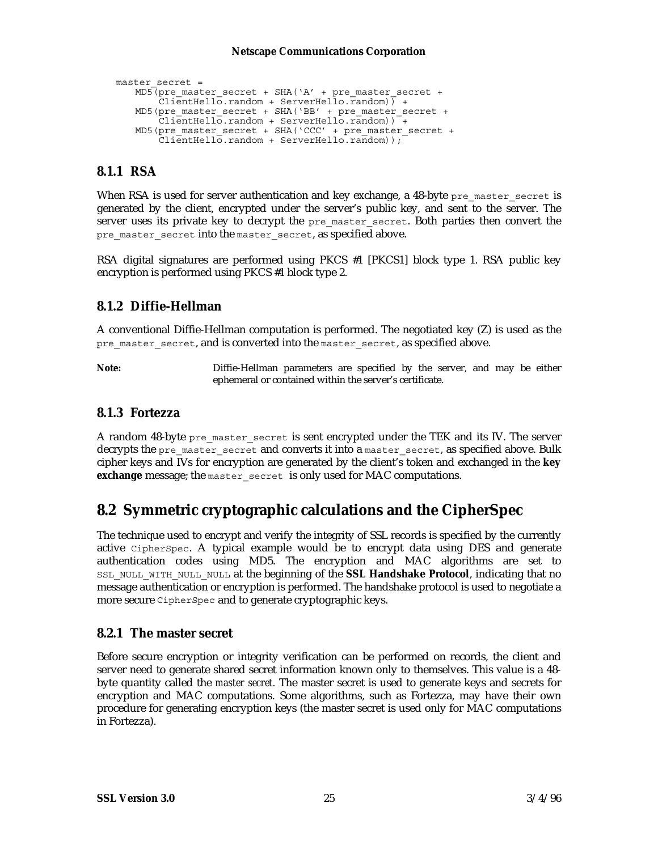```
master secret =
   MD5(pre_master_secret + SHA('A' + pre_master_secret +
       ClientHello.random + ServerHello.random) +
   MD5(pre_master_secret + SHA('BB' + pre_master_secret +
        ClientHello.random + ServerHello.random)) +
   MD5(pre_master_secret + SHA('CCC' + pre_master_secret +
        ClientHello.random + ServerHello.random));
```
### **8.1.1 RSA**

When RSA is used for server authentication and key exchange, a 48-byte pre\_master\_secret is generated by the client, encrypted under the server's public key, and sent to the server. The server uses its private key to decrypt the pre\_master\_secret. Both parties then convert the pre master secret into the master secret, as specified above.

RSA digital signatures are performed using PKCS #1 [PKCS1] block type 1. RSA public key encryption is performed using PKCS #1 block type 2.

### **8.1.2 Diffie-Hellman**

A conventional Diffie-Hellman computation is performed. The negotiated key (Z) is used as the pre master secret, and is converted into the master secret, as specified above.

**Note:** Diffie-Hellman parameters are specified by the server, and may be either ephemeral or contained within the server's certificate.

### **8.1.3 Fortezza**

A random 48-byte pre\_master\_secret is sent encrypted under the TEK and its IV. The server decrypts the pre\_master\_secret and converts it into a master secret, as specified above. Bulk cipher keys and IVs for encryption are generated by the client's token and exchanged in the **key exchange** message; the master secret is only used for MAC computations.

### **8.2 Symmetric cryptographic calculations and the CipherSpec**

The technique used to encrypt and verify the integrity of SSL records is specified by the currently active CipherSpec. A typical example would be to encrypt data using DES and generate authentication codes using MD5. The encryption and MAC algorithms are set to SSL\_NULL\_WITH\_NULL\_NULL at the beginning of the **SSL Handshake Protocol**, indicating that no message authentication or encryption is performed. The handshake protocol is used to negotiate a more secure CipherSpec and to generate cryptographic keys.

### **8.2.1 The master secret**

Before secure encryption or integrity verification can be performed on records, the client and server need to generate shared secret information known only to themselves. This value is a 48 byte quantity called the *master secret.* The master secret is used to generate keys and secrets for encryption and MAC computations. Some algorithms, such as Fortezza, may have their own procedure for generating encryption keys (the master secret is used only for MAC computations in Fortezza).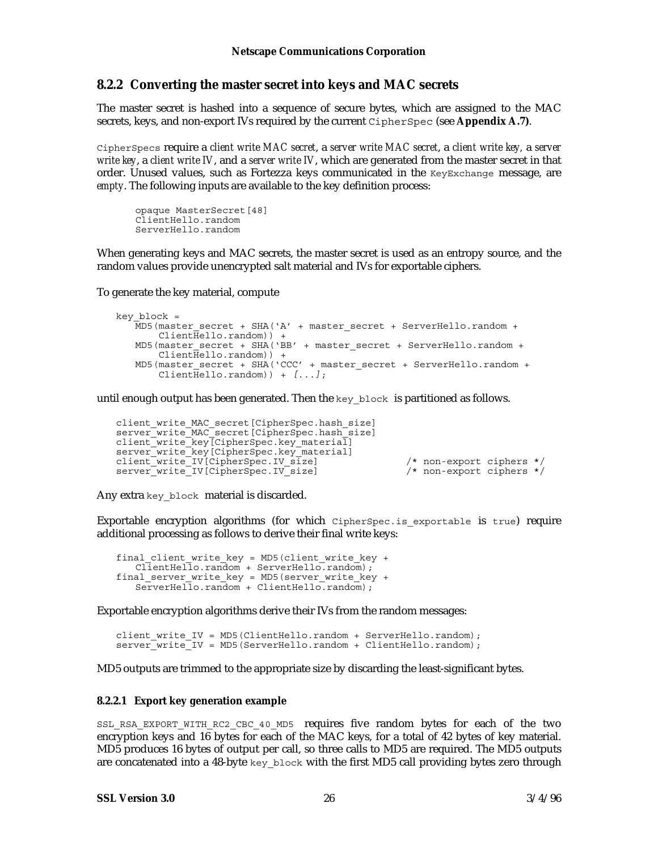#### **8.2.2 Converting the master secret into keys and MAC secrets**

The master secret is hashed into a sequence of secure bytes, which are assigned to the MAC secrets, keys, and non-export IVs required by the current CipherSpec (see **Appendix A.7)**.

CipherSpecs require a *client write MAC secret*, a *server write MAC secret*, a *client write key,* a *server write key*, a *client write IV*, and a *server write IV*, which are generated from the master secret in that order. Unused values, such as Fortezza keys communicated in the KeyExchange message, are *empty*. The following inputs are available to the key definition process:

opaque MasterSecret[48] ClientHello.random ServerHello.random

When generating keys and MAC secrets, the master secret is used as an entropy source, and the random values provide unencrypted salt material and IVs for exportable ciphers.

To generate the key material, compute

```
key_block =
   \overline{M}D5(master secret + SHA('A' + master secret + ServerHello.random +
        Client\overline{He}llo.random() +
   MD5(master secret + SHA('BB' + master secret + ServerHello.random +
        Client\overline{He}llo.random() +
   MD5(master secret + SHA('CCC' + master secret + ServerHello.random +
        Client\overline{He}llo.random) + [...];
```
until enough output has been generated. Then the  $key \text{ block}$  is partitioned as follows.

```
client write MAC secret [CipherSpec.hash_size]
server<sup>-</sup>write<sup>-MAC</sub>-secret[CipherSpec.hash<sup>-</sup>size]</sup>
client_write_key[CipherSpec.key_material]
server_write_key[CipherSpec.key_material]
client_write_IV[CipherSpec.IV_size] /* non-export ciphers */<br>server_write_IV[CipherSpec.IV_size] /* non-export ciphers */
server<sub>-</sub>write<sub>-IV</sub>[CipherSpec.IV<sub>-</sub>size]
```
Any extra key\_block material is discarded.

Exportable encryption algorithms (for which CipherSpec.is exportable is true) require additional processing as follows to derive their final write keys:

final client write key = MD5(client write key + ClientHello.random + ServerHello.random); final server write key = MD5(server write key + ServerHello.random + ClientHello.random);

Exportable encryption algorithms derive their IVs from the random messages:

client write IV = MD5(ClientHello.random + ServerHello.random); server<sup>-</sup>write<sup>-</sup>IV = MD5(ServerHello.random + ClientHello.random);

MD5 outputs are trimmed to the appropriate size by discarding the least-significant bytes.

#### **8.2.2.1 Export key generation example**

SSL\_RSA\_EXPORT\_WITH\_RC2\_CBC\_40\_MD5 requires five random bytes for each of the two encryption keys and 16 bytes for each of the MAC keys, for a total of 42 bytes of key material. MD5 produces 16 bytes of output per call, so three calls to MD5 are required. The MD5 outputs are concatenated into a 48-byte key block with the first MD5 call providing bytes zero through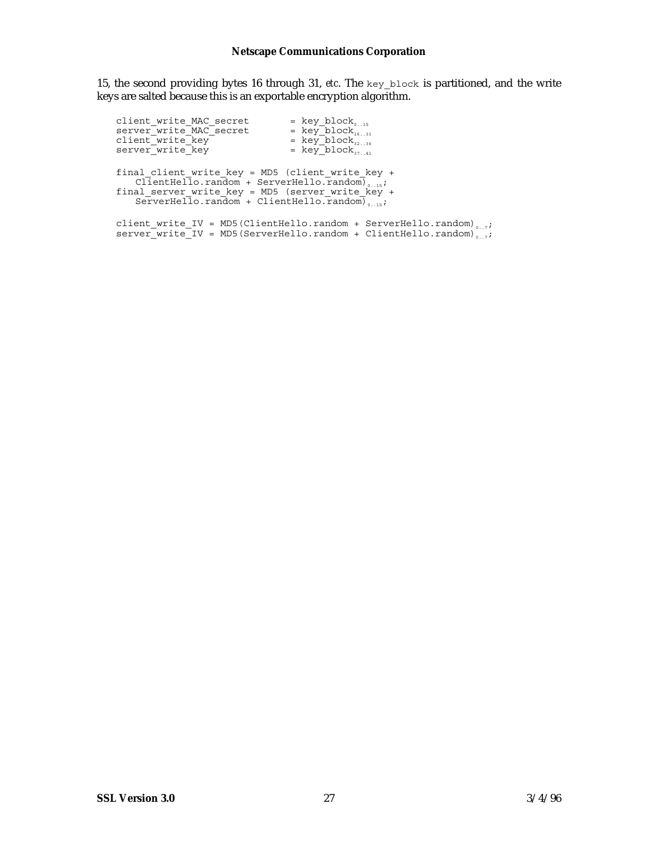15, the second providing bytes 16 through 31, *etc*. The key\_block is partitioned, and the write keys are salted because this is an exportable encryption algorithm.

| client write MAC secret<br>server write MAC secret<br>client write key<br>server write key                                                                                                                                                           | $=$ key_block <sub>0.15</sub><br>$= \text{key\_block}_{1631}$<br>$= \text{key\_block}_{3236}$<br>= $key\_block_{37}$                                           |
|------------------------------------------------------------------------------------------------------------------------------------------------------------------------------------------------------------------------------------------------------|----------------------------------------------------------------------------------------------------------------------------------------------------------------|
| final_client_write_key = MD5 (client write key +<br>ClientHello.random + ServerHello.random) <sub>0.15</sub> ;<br>final server write key = MD5 (server write $\overline{\text{key}}$ +<br>ServerHello.random + ClientHello.random) <sub>0,15</sub> ; |                                                                                                                                                                |
|                                                                                                                                                                                                                                                      | client_write_IV = MD5(ClientHello.random + ServerHello.random) <sub>0.7</sub> ;<br>$server{\_}write{\_}IV = MD5(ServerHello.random + ClientHello.random)\_ ";$ |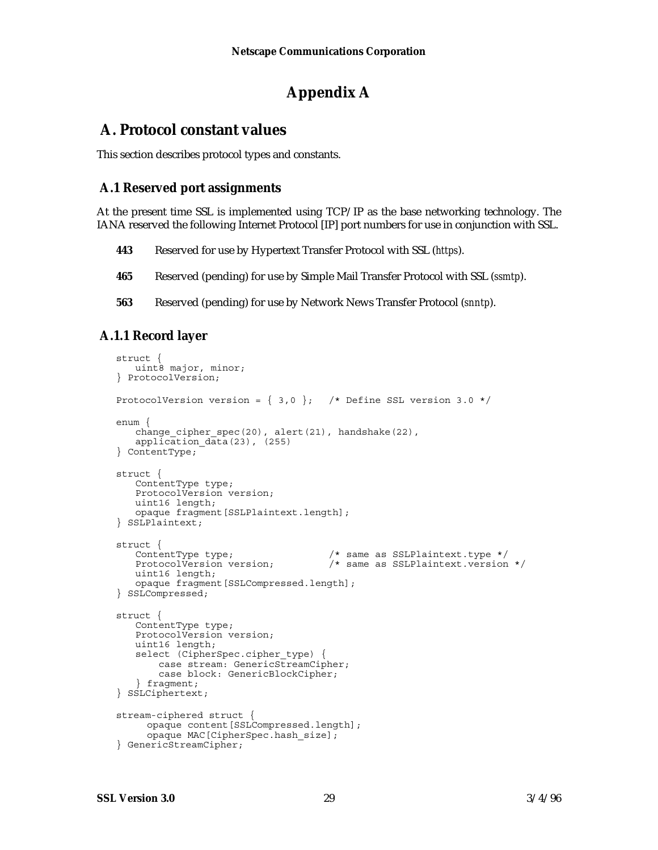### **Appendix A**

### **A. Protocol constant values**

This section describes protocol types and constants.

### **A.1 Reserved port assignments**

At the present time SSL is implemented using TCP/IP as the base networking technology. The IANA reserved the following Internet Protocol [IP] port numbers for use in conjunction with SSL.

- **443** Reserved for use by Hypertext Transfer Protocol with SSL (*https*).
- **465** Reserved (pending) for use by Simple Mail Transfer Protocol with SSL (*ssmtp*).
- **563** Reserved (pending) for use by Network News Transfer Protocol (*snntp*).

### **A.1.1 Record layer**

```
struct {
   uint8 major, minor;
} ProtocolVersion;
ProtocolVersion version = \{ 3,0 \}; /* Define SSL version 3.0 */
enum {
    change_cipher_spec(20), alert(21), handshake(22),
application_data(23), (255)<br>} ContentType;
struct {
   ContentType type;
   ProtocolVersion version;
   uint16 length;
   opaque fragment[SSLPlaintext.length];
} SSLPlaintext;
struct {<br>ContentType type;
   ContentType type; \overline{\phantom{0}} /* same as SSLPlaintext.type */<br>ProtocolVersion version; \overline{\phantom{0}} /* same as SSLPlaintext.version
                                          /* same as SSLPlaintext.version */
   uint16 length;
   opaque fragment[SSLCompressed.length];
} SSLCompressed;
struct {
   ContentType type;
   ProtocolVersion version;
   uint16 length;
   select (CipherSpec.cipher_type) {
        case stream: GenericStreamCipher;
         case block: GenericBlockCipher;
    } fragment;
} SSLCiphertext;
stream-ciphered struct {
      opaque content [SSLCompressed.length];
       opaque MAC[CipherSpec.hash_size];
} GenericStreamCipher;
```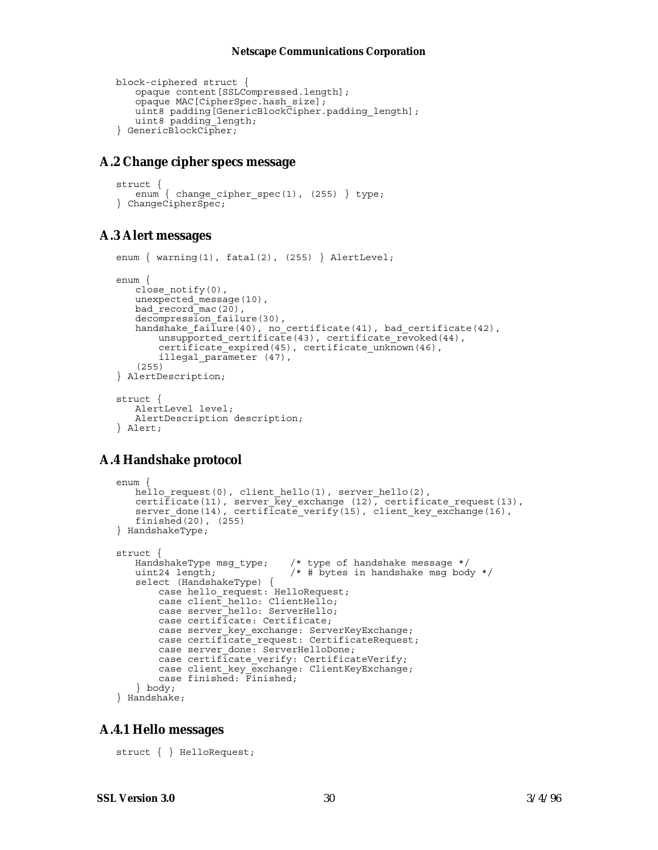```
block-ciphered struct {
   opaque content[SSLCompressed.length];
   opaque MAC[CipherSpec.hash_size];
   uint8 padding[GenericBlockCipher.padding_length];
   uint8 padding_length;
} GenericBlockCipher;
```
### **A.2 Change cipher specs message**

```
struct {
   enum { change_cipher_spec(1), (255) } type;
} ChangeCipherSpec;
```
### **A.3 Alert messages**

```
enum \{ warning(1), fatal(2), (255) \} AlertLevel;
enum {
   close_notify(0),
   unexpected_message(10),
   bad recordmac(20),
   decompression_failure(30),
   handshake_failure(40), no_certificate(41), bad_certificate(42),
       unsupported_certificate(43), certificate_revoked(44),
        certificate_expired(45), certificate_unknown(46),
        illegal_parameter (47),
   (255)
} AlertDescription;
struct {
   AlertLevel level;
   AlertDescription description;
} Alert;
```
### **A.4 Handshake protocol**

```
enum {
   hello_request(0), client_hello(1), server_hello(2),
   certificate(11), server_key_exchange (12), certificate_request(13),
   server_done(14), certificate_verify(15), client_key_exchange(16),
   finished(20), (255)
} HandshakeType;
struct {
   HandshakeType msg_type; /* type of handshake message */<br>uint24 length; /* # bytes in handshake msg bod
                                \frac{1}{4} ivintes in handshake msg body */
   select (HandshakeType) {
       case hello request: HelloRequest;
       case client_hello: ClientHello;
        case server_hello: ServerHello;
        case certificate: Certificate;
        case server_key_exchange: ServerKeyExchange;
    case certificate_request: CertificateRequest;
    case server_done: ServerHelloDone;
        case certificate_verify: CertificateVerify;
    case client_key_exchange: ClientKeyExchange;
    case finished: Finished;
   } body;
} Handshake;
```
### **A.4.1 Hello messages**

struct { } HelloRequest;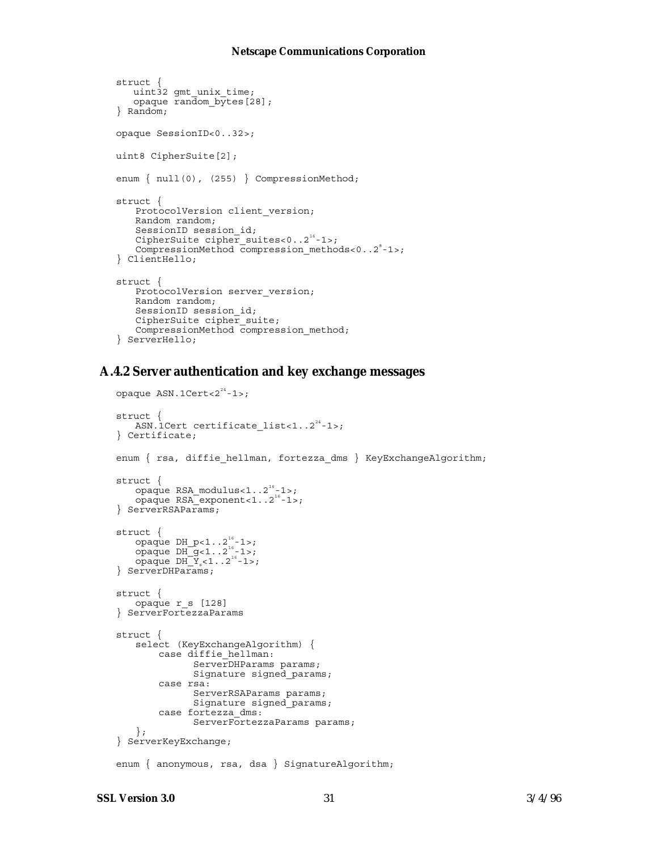```
struct {
    uint32 gmt_unix_time;
    opaque random_bytes[28];
} Random;
opaque SessionID<0..32>;
uint8 CipherSuite[2];
enum { null(0), (255) } CompressionMethod;
struct {
   ProtocolVersion client_version;
   Random random;
   SessionID session_id;
   CipherSuite cipher_suites<0..2<sup>16</sup>-1>;
   CompressionMethod compression methods<0..2<sup>8</sup>-1>;
} ClientHello;
struct {
   ProtocolVersion server version;
   Random random;
   SessionID session_id;
   CipherSuite cipher suite;
   CompressionMethod compression_method;
} ServerHello;
```
### **A.4.2 Server authentication and key exchange messages**

```
opaque ASN.1Cert<22^{24}-1>;
struct {
    ASN.1Cert certificate_list<1..2<sup>24</sup>-1>;
} Certificate;
enum { rsa, diffie hellman, fortezza_dms } KeyExchangeAlgorithm;
struct {
    opaque RSA_modulus<1.2^{16}-1>;
    \overline{\text{op}}aque RSA\overline{\text{exp}}opaque RSA\overline{\text{exp}}} ServerRSAParams;
struct {
    opaque DH p<1..2<sup>16</sup>-1>;
    opaque DH-g<1. .2<sup>16</sup>-1>;\overline{\text{opaque DH}_Y}s\overline{Y}_s<1..2<sup>16</sup>-1>;
} ServerDHParams;
struct {
    opaque r_s [128]
} ServerFortezzaParams
struct {
    select (KeyExchangeAlgorithm) {
        case diffie hellman:
                ServerDHParams params;
                 Signature signed_params;
          case rsa:
                 ServerRSAParams params;
                 Signature signed_params;
          case fortezza_dms:
                 ServerFortezzaParams params;
    };
} ServerKeyExchange;
enum { anonymous, rsa, dsa } SignatureAlgorithm;
```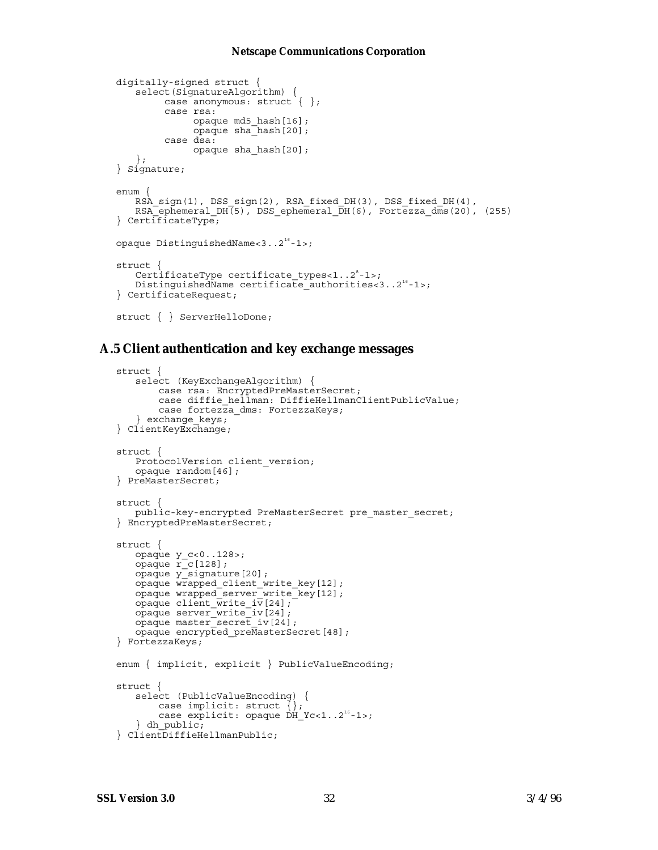```
digitally-signed struct {
   select(SignatureAlgorithm) {
         case anonymous: struct \{\ \};
          case rsa:
               opaque md5_hash[16];
               opaque sha_hash[20];
          case dsa:
               opaque sha_hash[20];
   };
} Signature;
enum {
   RSA_sign(1), DSS_sign(2), RSA_fixed_DH(3), DSS_fixed_DH(4),
   RSA_ephemeral_DH(5), DSS_ephemeral_DH(6), Fortezza_dms(20), (255)
} CertificateType;
opaque DistinguishedName<3..2<sup>16</sup>-1>;
struct {
    CertificateType certificate types<1..2<sup>8</sup>-1>;
   DistinguishedName certificate_authorities<3..2<sup>16</sup>-1>;
} CertificateRequest;
struct { } ServerHelloDone;
```
#### **A.5 Client authentication and key exchange messages**

```
struct {
   select (KeyExchangeAlgorithm) {
        case rsa: EncryptedPreMasterSecret;
        case diffie_hellman: DiffieHellmanClientPublicValue;
        case fortezza_dms: FortezzaKeys;
   } exchange_keys;
} ClientKeyExchange;
struct {
   ProtocolVersion client_version;
   opaque random[46];
} PreMasterSecret;
struct {
   public-key-encrypted PreMasterSecret pre_master_secret;
} EncryptedPreMasterSecret;
struct {
   opaque y_c<0..128>;
   opaque r_c[128];
   opaque y_signature[20];
   opaque wrapped_client_write_key[12];
   opaque wrapped_server_write_key[12];
   opaque client \overline{write} iv[24];
   opaque server_write_iv[24];
   opaque master_secret_iv[24];
   opaque encrypted_preMasterSecret[48];
} FortezzaKeys;
enum { implicit, explicit } PublicValueEncoding;
struct {
   select (PublicValueEncoding) {
        case implicit: struct {};
       case explicit: opaque \tilde{DH}_Yc<1. .2^{16}-1;
   } dh_public;
} ClientDiffieHellmanPublic;
```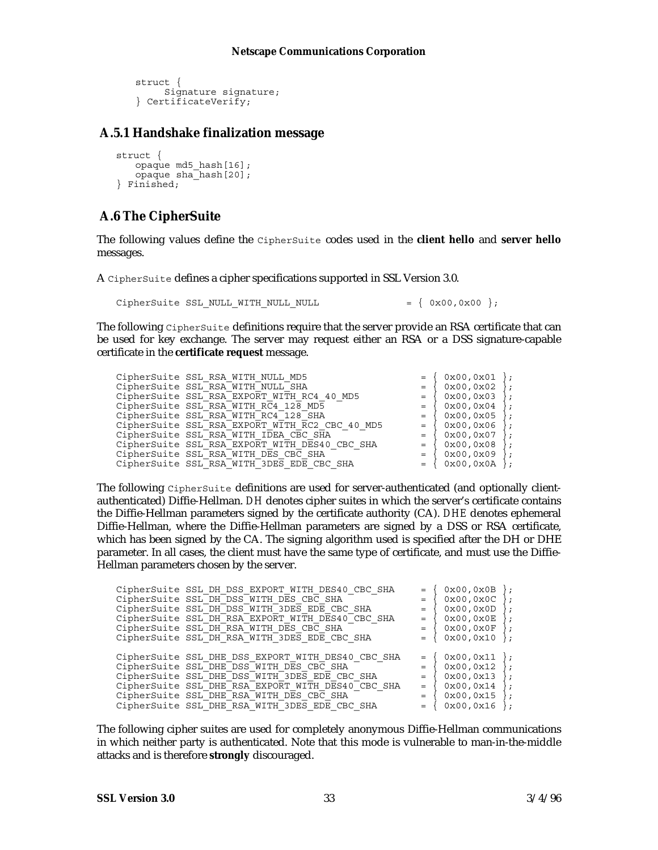```
struct {
      Signature signature;
} CertificateVerify;
```
### **A.5.1 Handshake finalization message**

```
struct {
   opaque md5_hash[16];
   opaque sha_hash[20];
} Finished;
```
### **A.6 The CipherSuite**

The following values define the CipherSuite codes used in the **client hello** and **server hello** messages.

A CipherSuite defines a cipher specifications supported in SSL Version 3.0.

CipherSuite SSL NULL WITH NULL NULL  $= \{ 0x00,0x00 \};$ 

The following CipherSuite definitions require that the server provide an RSA certificate that can be used for key exchange. The server may request either an RSA or a DSS signature-capable certificate in the **certificate request** message.

| CipherSuite SSL RSA WITH NULL MD5              |     | 0x00.0x01       | $\cdot$ :       |
|------------------------------------------------|-----|-----------------|-----------------|
| CipherSuite SSL RSA WITH NULL SHA              |     | 0x00.0x02       | $\cdot$ :       |
| CipherSuite SSL RSA EXPORT WITH RC4 40 MD5     | $=$ | 0x00,0x03       | $\}$ ;          |
| CipherSuite SSL RSA WITH RC4 128 MD5           | $=$ | 0x00,0x04       | $\{$ ;          |
| CipherSuite SSL RSA WITH RC4 128 SHA           |     | 0x00,0x05       | $\cdot$ :       |
| CipherSuite SSL RSA EXPORT WITH RC2 CBC 40 MD5 | $=$ | 0x00,0x06       |                 |
| CipherSuite SSL RSA WITH IDEA CBC SHA          | $=$ | 0x00,0x07       | $\rightarrow$ : |
| CipherSuite SSL RSA EXPORT WITH DES40 CBC SHA  |     | 0x00.0x08       | $\}$ ;          |
| CipherSuite SSL RSA WITH DES CBC SHA           | $=$ | 0x00,0x09       |                 |
| CipherSuite SSL RSA WITH 3DES EDE CBC SHA      | $=$ | $0x00, 0x0A$ }; |                 |
|                                                |     |                 |                 |

The following CipherSuite definitions are used for server-authenticated (and optionally clientauthenticated) Diffie-Hellman. *DH* denotes cipher suites in which the server's certificate contains the Diffie-Hellman parameters signed by the certificate authority (CA). *DHE* denotes ephemeral Diffie-Hellman, where the Diffie-Hellman parameters are signed by a DSS or RSA certificate, which has been signed by the CA. The signing algorithm used is specified after the DH or DHE parameter. In all cases, the client must have the same type of certificate, and must use the Diffie-Hellman parameters chosen by the server.

| CipherSuite SSL DH DSS EXPORT WITH DES40 CBC SHA  |     | 0x00,0x0B | $\}$ ;  |
|---------------------------------------------------|-----|-----------|---------|
| CipherSuite SSL DH DSS WITH DES CBC SHA           |     | 0x00,0x0C |         |
| CipherSuite SSL DH DSS WITH 3DES EDE CBC SHA      | $=$ | 0x00,0x0D | $\}$ ;  |
| CipherSuite SSL DH RSA EXPORT WITH DES40 CBC SHA  |     | 0x00,0x0E | ł ;     |
| CipherSuite SSL DH RSA WITH DES CBC SHA           | $=$ | 0x00,0x0F | $\}$ ;  |
| CipherSuite SSL DH RSA WITH 3DES EDE CBC SHA      | $=$ | 0x00,0x10 | $\cdot$ |
|                                                   |     |           |         |
| CipherSuite SSL DHE DSS EXPORT WITH DES40 CBC SHA |     | 0x00,0x11 | $\}$ ;  |
| CipherSuite SSL DHE DSS WITH DES CBC SHA          | $=$ | 0x00,0x12 | $\}$ ;  |
| CipherSuite SSL DHE DSS WITH 3DES EDE CBC SHA     | $=$ | 0x00,0x13 | $\}$ ;  |
| CipherSuite SSL DHE RSA EXPORT WITH DES40 CBC SHA | $=$ | 0x00,0x14 | $\}$ ;  |
| CipherSuite SSL DHE RSA WITH DES CBC SHA          | $=$ | 0x00,0x15 |         |
| CipherSuite SSL DHE RSA WITH 3DES EDE CBC SHA     |     | 0x00,0x16 |         |
|                                                   |     |           |         |

The following cipher suites are used for completely anonymous Diffie-Hellman communications in which neither party is authenticated. Note that this mode is vulnerable to man-in-the-middle attacks and is therefore **strongly** discouraged.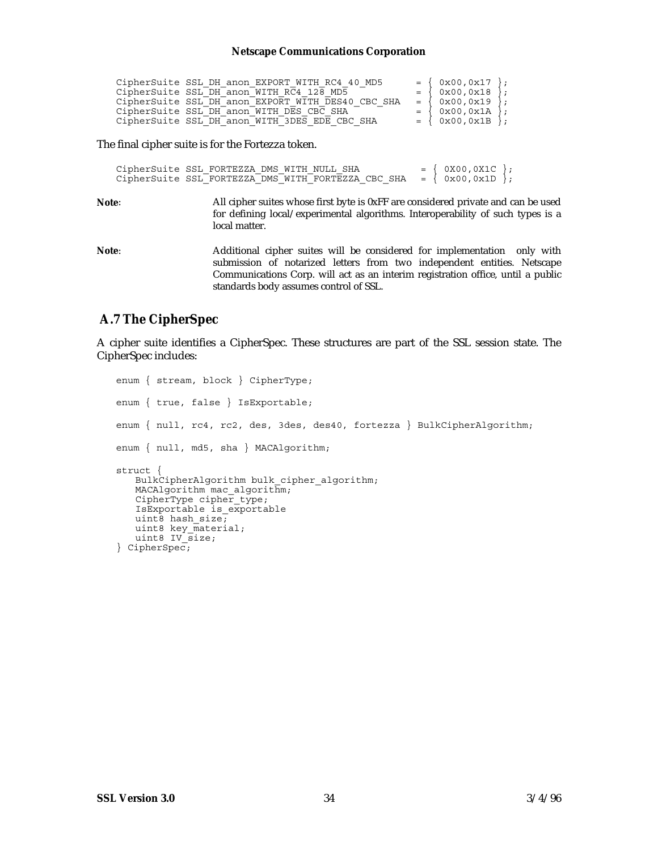| CipherSuite SSL DH anon EXPORT WITH RC4 40 MD5    | $= \{ 0x00, 0x17 \}$   |  |
|---------------------------------------------------|------------------------|--|
| CipherSuite SSL DH anon WITH RC4 128 MD5          | $= \{ 0x00, 0x18 \}$   |  |
| CipherSuite SSL DH anon EXPORT WITH DES40 CBC SHA | $=$ { 0x00, 0x19 };    |  |
| CipherSuite SSL DH anon WITH DES CBC SHA          | $=$ { 0x00, 0x1A };    |  |
| CipherSuite SSL DH anon WITH 3DES EDE CBC SHA     | $= \{ 0x00, 0x1B \}$ ; |  |

The final cipher suite is for the Fortezza token.

```
CipherSuite SSL_FORTEZZA_DMS_WITH_NULL_SHA = { 0X00,0X1C };<br>CipherSuite SSL_FORTEZZA_DMS_WITH_FORTEZZA_CBC_SHA = { 0x00,0x1D };
CipherSuite SSL_FORTEZZA_DMS_WITH_FORTEZZA CBC_SHA
```
**Note**: All cipher suites whose first byte is 0xFF are considered private and can be used for defining local/experimental algorithms. Interoperability of such types is a local matter.

**Note**: Additional cipher suites will be considered for implementation only with submission of notarized letters from two independent entities. Netscape Communications Corp. will act as an interim registration office, until a public standards body assumes control of SSL.

### **A.7 The CipherSpec**

A cipher suite identifies a CipherSpec. These structures are part of the SSL session state. The CipherSpec includes:

```
enum { stream, block } CipherType;
enum { true, false } IsExportable;
enum { null, rc4, rc2, des, 3des, des40, fortezza } BulkCipherAlgorithm;
enum { null, md5, sha } MACAlgorithm;
struct {
   BulkCipherAlgorithm bulk_cipher_algorithm;
   MACAlgorithm mac algorithm;
   CipherType cipher type;
   IsExportable is_exportable
   uint8 hash size;
   uint8 key_material;
   uint8 IV size;} CipherSpec;
```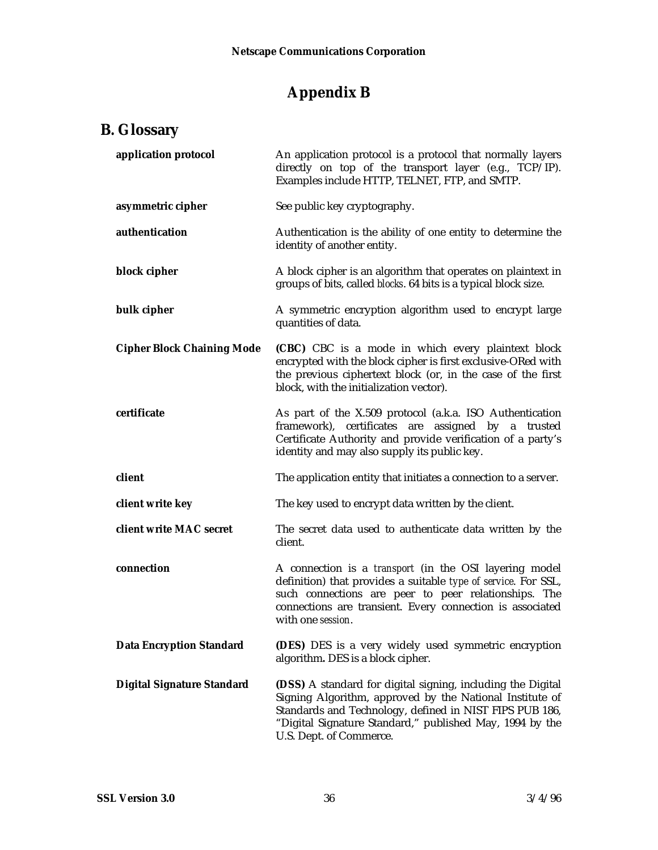## **Appendix B**

## **B. Glossary**

| application protocol              | An application protocol is a protocol that normally layers<br>directly on top of the transport layer (e.g., TCP/IP).<br>Examples include HTTP, TELNET, FTP, and SMTP.                                                                                                     |
|-----------------------------------|---------------------------------------------------------------------------------------------------------------------------------------------------------------------------------------------------------------------------------------------------------------------------|
| asymmetric cipher                 | See public key cryptography.                                                                                                                                                                                                                                              |
| authentication                    | Authentication is the ability of one entity to determine the<br>identity of another entity.                                                                                                                                                                               |
| block cipher                      | A block cipher is an algorithm that operates on plaintext in<br>groups of bits, called blocks. 64 bits is a typical block size.                                                                                                                                           |
| bulk cipher                       | A symmetric encryption algorithm used to encrypt large<br>quantities of data.                                                                                                                                                                                             |
| <b>Cipher Block Chaining Mode</b> | (CBC) CBC is a mode in which every plaintext block<br>encrypted with the block cipher is first exclusive-ORed with<br>the previous ciphertext block (or, in the case of the first<br>block, with the initialization vector).                                              |
| certificate                       | As part of the X.509 protocol (a.k.a. ISO Authentication<br>framework), certificates are assigned by a trusted<br>Certificate Authority and provide verification of a party's<br>identity and may also supply its public key.                                             |
| client                            | The application entity that initiates a connection to a server.                                                                                                                                                                                                           |
| client write key                  | The key used to encrypt data written by the client.                                                                                                                                                                                                                       |
| client write MAC secret           | The secret data used to authenticate data written by the<br>client.                                                                                                                                                                                                       |
| connection                        | A connection is a transport (in the OSI layering model<br>definition) that provides a suitable type of service. For SSL,<br>such connections are peer to peer relationships. The<br>connections are transient. Every connection is associated<br>with one session.        |
| <b>Data Encryption Standard</b>   | (DES) DES is a very widely used symmetric encryption<br>algorithm. DES is a block cipher.                                                                                                                                                                                 |
| <b>Digital Signature Standard</b> | (DSS) A standard for digital signing, including the Digital<br>Signing Algorithm, approved by the National Institute of<br>Standards and Technology, defined in NIST FIPS PUB 186,<br>"Digital Signature Standard," published May, 1994 by the<br>U.S. Dept. of Commerce. |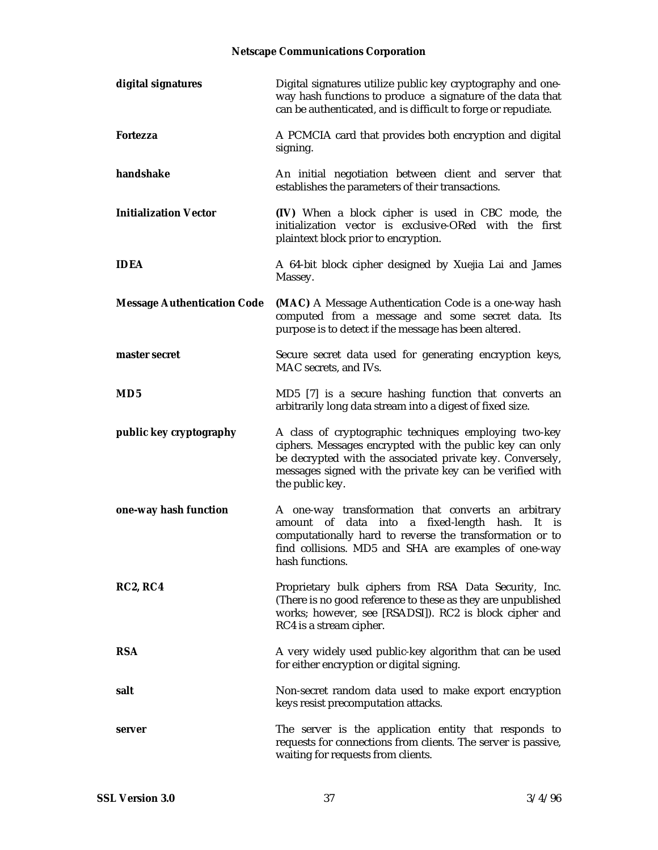| digital signatures                 | Digital signatures utilize public key cryptography and one-<br>way hash functions to produce a signature of the data that<br>can be authenticated, and is difficult to forge or repudiate.                                                                     |
|------------------------------------|----------------------------------------------------------------------------------------------------------------------------------------------------------------------------------------------------------------------------------------------------------------|
| <b>Fortezza</b>                    | A PCMCIA card that provides both encryption and digital<br>signing.                                                                                                                                                                                            |
| handshake                          | An initial negotiation between client and server that<br>establishes the parameters of their transactions.                                                                                                                                                     |
| <b>Initialization Vector</b>       | (IV) When a block cipher is used in CBC mode, the<br>initialization vector is exclusive-ORed with the first<br>plaintext block prior to encryption.                                                                                                            |
| <b>IDEA</b>                        | A 64-bit block cipher designed by Xuejia Lai and James<br>Massey.                                                                                                                                                                                              |
| <b>Message Authentication Code</b> | (MAC) A Message Authentication Code is a one-way hash<br>computed from a message and some secret data. Its<br>purpose is to detect if the message has been altered.                                                                                            |
| master secret                      | Secure secret data used for generating encryption keys,<br>MAC secrets, and IVs.                                                                                                                                                                               |
| MD <sub>5</sub>                    | MD5 [7] is a secure hashing function that converts an<br>arbitrarily long data stream into a digest of fixed size.                                                                                                                                             |
| public key cryptography            | A class of cryptographic techniques employing two-key<br>ciphers. Messages encrypted with the public key can only<br>be decrypted with the associated private key. Conversely,<br>messages signed with the private key can be verified with<br>the public key. |
| one-way hash function              | A one-way transformation that converts an arbitrary<br>amount of data into a fixed-length hash.<br>It is<br>computationally hard to reverse the transformation or to<br>find collisions. MD5 and SHA are examples of one-way<br>hash functions.                |
| <b>RC2, RC4</b>                    | Proprietary bulk ciphers from RSA Data Security, Inc.<br>(There is no good reference to these as they are unpublished<br>works; however, see [RSADSI]). RC2 is block cipher and<br>RC4 is a stream cipher.                                                     |
| <b>RSA</b>                         | A very widely used public-key algorithm that can be used<br>for either encryption or digital signing.                                                                                                                                                          |
| salt                               | Non-secret random data used to make export encryption<br>keys resist precomputation attacks.                                                                                                                                                                   |
| server                             | The server is the application entity that responds to<br>requests for connections from clients. The server is passive,<br>waiting for requests from clients.                                                                                                   |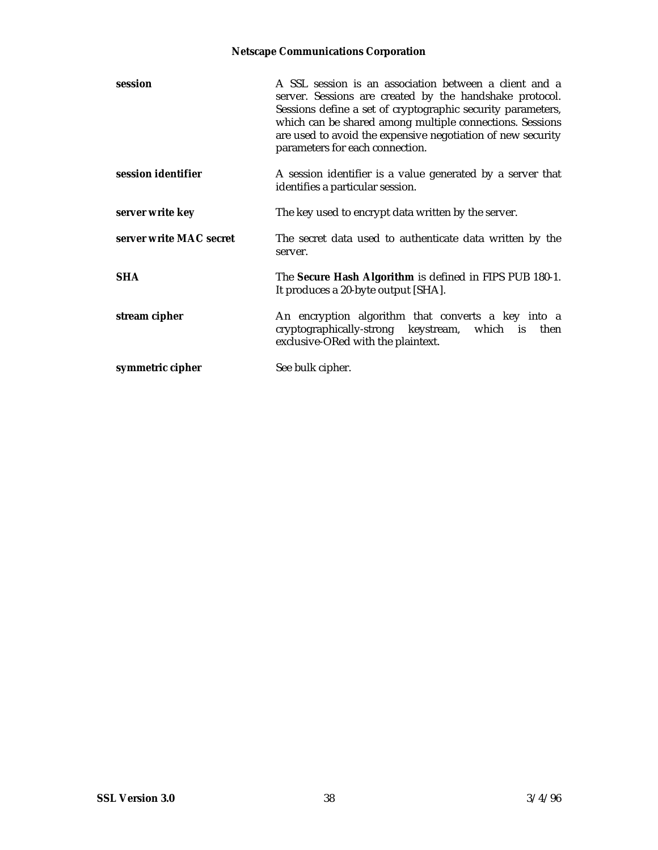| session                 | A SSL session is an association between a client and a<br>server. Sessions are created by the handshake protocol.<br>Sessions define a set of cryptographic security parameters,<br>which can be shared among multiple connections. Sessions<br>are used to avoid the expensive negotiation of new security<br>parameters for each connection. |
|-------------------------|------------------------------------------------------------------------------------------------------------------------------------------------------------------------------------------------------------------------------------------------------------------------------------------------------------------------------------------------|
| session identifier      | A session identifier is a value generated by a server that<br>identifies a particular session.                                                                                                                                                                                                                                                 |
| server write key        | The key used to encrypt data written by the server.                                                                                                                                                                                                                                                                                            |
| server write MAC secret | The secret data used to authenticate data written by the<br>server.                                                                                                                                                                                                                                                                            |
| <b>SHA</b>              | The Secure Hash Algorithm is defined in FIPS PUB 180-1.<br>It produces a 20-byte output [SHA].                                                                                                                                                                                                                                                 |
| stream cipher           | An encryption algorithm that converts a key into a<br>cryptographically-strong keystream, which is then<br>exclusive-ORed with the plaintext.                                                                                                                                                                                                  |
| symmetric cipher        | See bulk cipher.                                                                                                                                                                                                                                                                                                                               |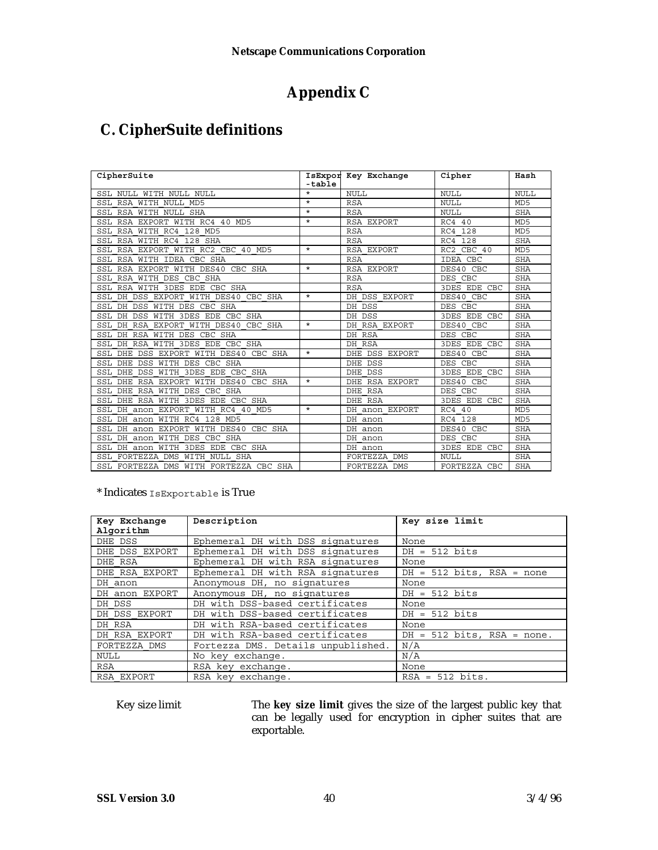### **Appendix C**

### **C. CipherSuite definitions**

| CipherSuite                                 | -table  | IsExpor Key Exchange          | Cipher              | Hash            |
|---------------------------------------------|---------|-------------------------------|---------------------|-----------------|
| SSL NULL WITH NULL NULL                     | $\star$ | NULL.                         | <b>NULL</b>         | <b>NULL</b>     |
| SSL RSA WITH NULL MD5                       | $\star$ | <b>RSA</b>                    | <b>NULL</b>         | MD <sub>5</sub> |
| SSL RSA WITH NULL SHA                       | $\star$ | <b>RSA</b>                    | <b>NULL</b>         | <b>SHA</b>      |
| SSL RSA EXPORT WITH RC4 40 MD5              | $\star$ | RSA EXPORT                    | RC4 40              | MD <sub>5</sub> |
| SSL RSA WITH RC4 128<br>MD5                 |         | <b>RSA</b>                    | 128<br>RC4          | MD <sub>5</sub> |
| SSL RSA WITH RC4 128 SHA                    |         | <b>RSA</b>                    | 128<br>RC4          | <b>SHA</b>      |
| SSL RSA<br>EXPORT WITH RC2 CBC 40 MD5       | $\star$ | RSA EXPORT                    | CBC 40<br>RC2       | MD <sub>5</sub> |
| SSL RSA WITH IDEA CBC SHA                   |         | <b>RSA</b>                    | IDEA CBC            | <b>SHA</b>      |
| SSL RSA EXPORT WITH DES40<br>CBC SHA        | $\star$ | RSA EXPORT                    | DES40 CBC           | <b>SHA</b>      |
| SSL RSA WITH DES CBC SHA                    |         | <b>RSA</b>                    | CBC<br><b>DES</b>   | <b>SHA</b>      |
| SSL RSA WITH 3DES EDE CBC SHA               |         | <b>RSA</b>                    | <b>3DES EDE CBC</b> | <b>SHA</b>      |
| SSL DH DSS EXPORT WITH DES40 CBC SHA        | $\star$ | DH DSS EXPORT                 | DES40 CBC           | <b>SHA</b>      |
| SSL DH DSS WITH DES CBC SHA                 |         | DH DSS                        | <b>DES</b><br>CBC   | <b>SHA</b>      |
| SSL DH DSS WITH 3DES EDE CBC SHA            |         | DH DSS                        | <b>3DES EDE CBC</b> | <b>SHA</b>      |
| DH RSA EXPORT WITH DES40 CBC SHA<br>SSL     | $\star$ | DH RSA EXPORT                 | DES40 CBC           | <b>SHA</b>      |
| SSL<br>DH RSA WITH DES CBC SHA              |         | DH RSA                        | DES CBC             | <b>SHA</b>      |
| SSL DH RSA WITH 3DES EDE<br>CBC SHA         |         | DH RSA                        | <b>3DES EDE CBC</b> | <b>SHA</b>      |
| SSL DHE DSS EXPORT WITH DES40 CBC SHA       | $\star$ | DHE DSS EXPORT                | DES40 CBC           | <b>SHA</b>      |
| SSL DHE<br>DSS WITH DES CBC SHA             |         | DHE DSS                       | CBC<br>DES          | <b>SHA</b>      |
| DSS WITH 3DES EDE CBC SHA<br>SSL DHE        |         | DHE DSS                       | 3DES EDE CBC        | <b>SHA</b>      |
| RSA EXPORT WITH DES40<br>SSL DHE<br>CBC SHA | $\star$ | RSA EXPORT<br><b>DHE</b>      | DES40 CBC           | <b>SHA</b>      |
| RSA WITH DES<br>SSL DHE<br>CBC SHA          |         | <b>RSA</b><br><b>DHE</b>      | CBC<br><b>DES</b>   | <b>SHA</b>      |
| RSA WITH 3DES EDE CBC SHA<br>SSL DHE        |         | DHE RSA                       | <b>3DES EDE CBC</b> | <b>SHA</b>      |
| SSL DH anon EXPORT WITH RC4 40 MD5          | $\star$ | DH anon EXPORT                | RC4 40              | MD <sub>5</sub> |
| SSL DH anon WITH RC4 128<br>MD <sub>5</sub> |         | DH anon                       | RC4<br>128          | MD <sub>5</sub> |
| SSL DH anon EXPORT WITH DES40 CBC SHA       |         | DH anon                       | DES40 CBC           | <b>SHA</b>      |
| SSL DH anon WITH DES CBC SHA                |         | DH anon                       | DES CBC             | <b>SHA</b>      |
| SSL DH anon WITH 3DES EDE CBC SHA           |         | DH anon                       | <b>3DES EDE CBC</b> | <b>SHA</b>      |
| DMS WITH NULL SHA<br>SSL FORTEZZA           |         | <b>DMS</b><br><b>FORTEZZA</b> | <b>NULL</b>         | <b>SHA</b>      |
| SSL FORTEZZA DMS WITH FORTEZZA CBC SHA      |         | FORTEZZA DMS                  | FORTEZZA CBC        | <b>SHA</b>      |

\* Indicates IsExportable is True

| Key Exchange<br>Algorithm | Description                        | Key size limit               |
|---------------------------|------------------------------------|------------------------------|
| DHE DSS                   | Ephemeral DH with DSS signatures   | None                         |
| DHE DSS EXPORT            | Ephemeral DH with DSS signatures   | $DH = 512$ bits              |
| DHE RSA                   | Ephemeral DH with RSA signatures   | None                         |
| DHE RSA EXPORT            | Ephemeral DH with RSA signatures   | $DH = 512$ bits, RSA = none  |
| DH anon                   | Anonymous DH, no signatures        | None                         |
| DH anon EXPORT            | Anonymous DH, no signatures        | $DH = 512$ bits              |
| DH DSS                    | DH with DSS-based certificates     | None                         |
| DH DSS EXPORT             | DH with DSS-based certificates     | $DH = 512$ bits              |
| DH RSA                    | DH with RSA-based certificates     | None                         |
| DH RSA EXPORT             | DH with RSA-based certificates     | $DH = 512$ bits, RSA = none. |
| FORTEZZA DMS              | Fortezza DMS. Details unpublished. | N/A                          |
| NULL                      | No key exchange.                   | N/A                          |
| RSA                       | RSA key exchange.                  | None                         |
| RSA EXPORT                | RSA kev exchange.                  | $RSA = 512 bits.$            |

Key size limit The **key size limit** gives the size of the largest public key that can be legally used for encryption in cipher suites that are exportable.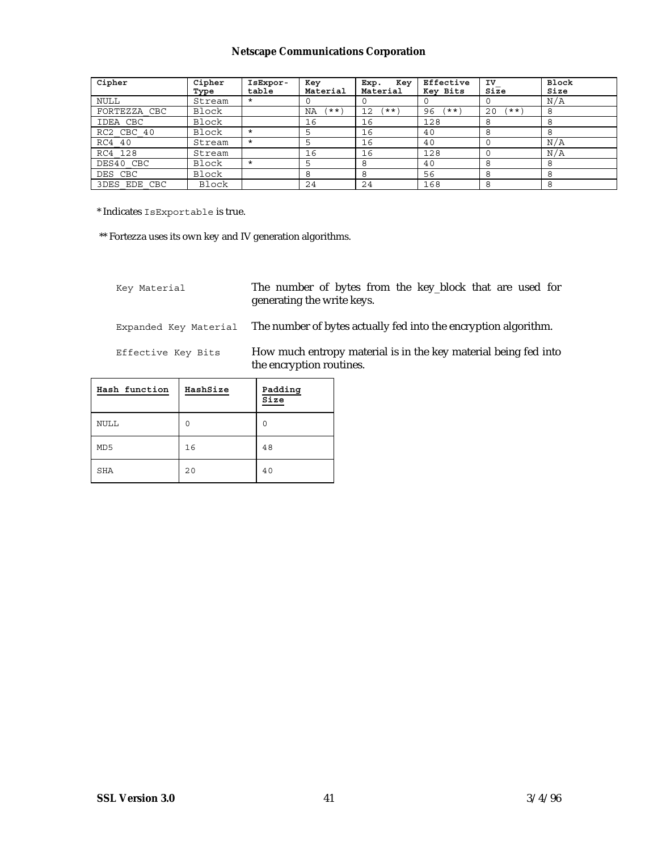| Cipher       | Cipher<br>Type | IsExpor-<br>table | Key<br>Material  | Key<br>Exp.<br>Material | Effective<br>Key Bits | IV<br>Size  | <b>Block</b><br>Size |
|--------------|----------------|-------------------|------------------|-------------------------|-----------------------|-------------|----------------------|
| <b>NULL</b>  | Stream         | $\star$           |                  |                         |                       | 0           | N/A                  |
| FORTEZZA CBC | Block          |                   | $'$ ** $'$<br>ΝA | (**`<br>12              | 96<br>ี * * `         | $***$<br>20 | 8                    |
| IDEA CBC     | Block          |                   | 16               | 16                      | 128                   | 8           | 8                    |
| RC2 CBC 40   | Block          | $\star$           | 5                | 16                      | 40                    | 8           | 8                    |
| RC4 40       | Stream         | $\star$           |                  | 16                      | 40                    |             | N/A                  |
| RC4 128      | Stream         |                   | 16               | 16                      | 128                   |             | N/A                  |
| DES40 CBC    | Block          | $\star$           |                  | 8                       | 40                    | 8           | 8                    |
| DES CBC      | Block          |                   | 8                | 8                       | 56                    | 8           | 8                    |
| 3DES EDE CBC | Block          |                   | 24               | 24                      | 168                   | 8           | 8                    |

\* Indicates IsExportable is true.

\*\* Fortezza uses its own key and IV generation algorithms.

Key Material The number of bytes from the key\_block that are used for generating the write keys.

Expanded Key Material The number of bytes actually fed into the encryption algorithm.

Effective Key Bits How much entropy material is in the key material being fed into the encryption routines.

| Hash function | HashSize | Padding<br>Size |
|---------------|----------|-----------------|
| <b>NULL</b>   | ∩        | ∩               |
| MD5           | 16       | 48              |
| SHA           | 20       | 40              |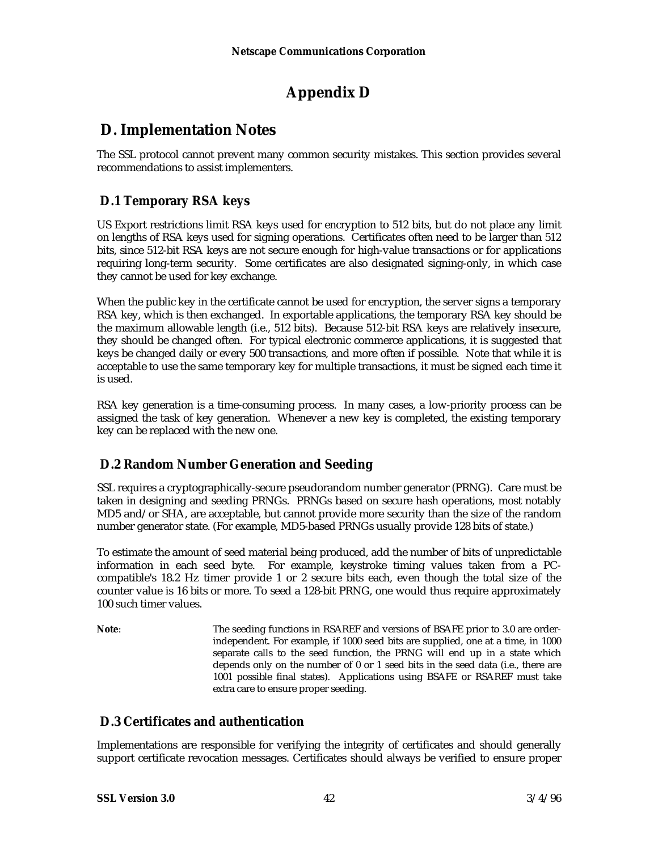## **Appendix D**

### **D. Implementation Notes**

The SSL protocol cannot prevent many common security mistakes. This section provides several recommendations to assist implementers.

### **D.1 Temporary RSA keys**

US Export restrictions limit RSA keys used for encryption to 512 bits, but do not place any limit on lengths of RSA keys used for signing operations. Certificates often need to be larger than 512 bits, since 512-bit RSA keys are not secure enough for high-value transactions or for applications requiring long-term security. Some certificates are also designated signing-only, in which case they cannot be used for key exchange.

When the public key in the certificate cannot be used for encryption, the server signs a temporary RSA key, which is then exchanged. In exportable applications, the temporary RSA key should be the maximum allowable length (i.e., 512 bits). Because 512-bit RSA keys are relatively insecure, they should be changed often. For typical electronic commerce applications, it is suggested that keys be changed daily or every 500 transactions, and more often if possible. Note that while it is acceptable to use the same temporary key for multiple transactions, it must be signed each time it is used.

RSA key generation is a time-consuming process. In many cases, a low-priority process can be assigned the task of key generation. Whenever a new key is completed, the existing temporary key can be replaced with the new one.

### **D.2 Random Number Generation and Seeding**

SSL requires a cryptographically-secure pseudorandom number generator (PRNG). Care must be taken in designing and seeding PRNGs. PRNGs based on secure hash operations, most notably MD5 and/or SHA, are acceptable, but cannot provide more security than the size of the random number generator state. (For example, MD5-based PRNGs usually provide 128 bits of state.)

To estimate the amount of seed material being produced, add the number of bits of unpredictable information in each seed byte. For example, keystroke timing values taken from a PCcompatible's 18.2 Hz timer provide 1 or 2 secure bits each, even though the total size of the counter value is 16 bits or more. To seed a 128-bit PRNG, one would thus require approximately 100 such timer values.

**Note:** The seeding functions in RSAREF and versions of BSAFE prior to 3.0 are orderindependent. For example, if 1000 seed bits are supplied, one at a time, in 1000 separate calls to the seed function, the PRNG will end up in a state which depends only on the number of 0 or 1 seed bits in the seed data (i.e., there are 1001 possible final states). Applications using BSAFE or RSAREF must take extra care to ensure proper seeding.

### **D.3 Certificates and authentication**

Implementations are responsible for verifying the integrity of certificates and should generally support certificate revocation messages. Certificates should always be verified to ensure proper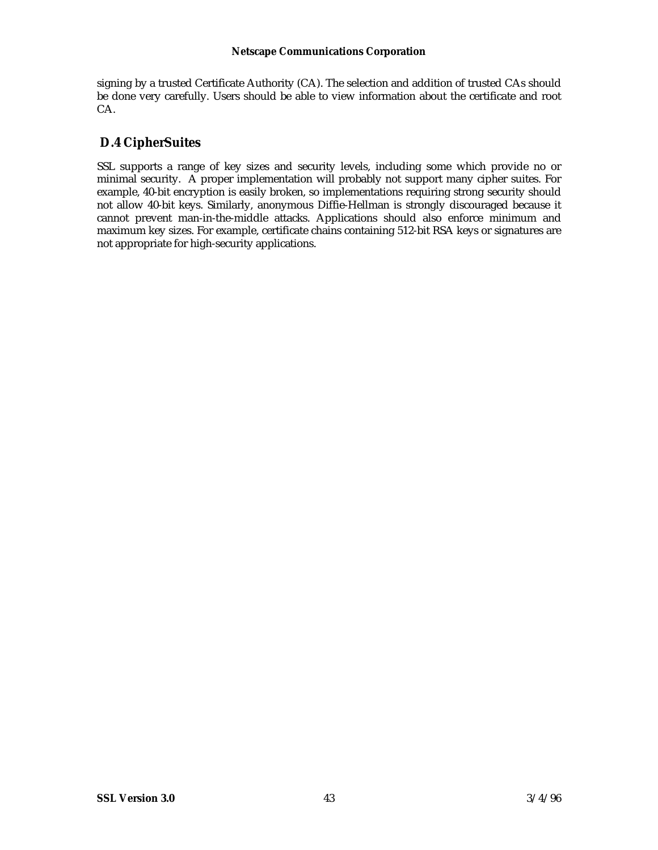signing by a trusted Certificate Authority (CA). The selection and addition of trusted CAs should be done very carefully. Users should be able to view information about the certificate and root CA.

### **D.4 CipherSuites**

SSL supports a range of key sizes and security levels, including some which provide no or minimal security. A proper implementation will probably not support many cipher suites. For example, 40-bit encryption is easily broken, so implementations requiring strong security should not allow 40-bit keys. Similarly, anonymous Diffie-Hellman is strongly discouraged because it cannot prevent man-in-the-middle attacks. Applications should also enforce minimum and maximum key sizes. For example, certificate chains containing 512-bit RSA keys or signatures are not appropriate for high-security applications.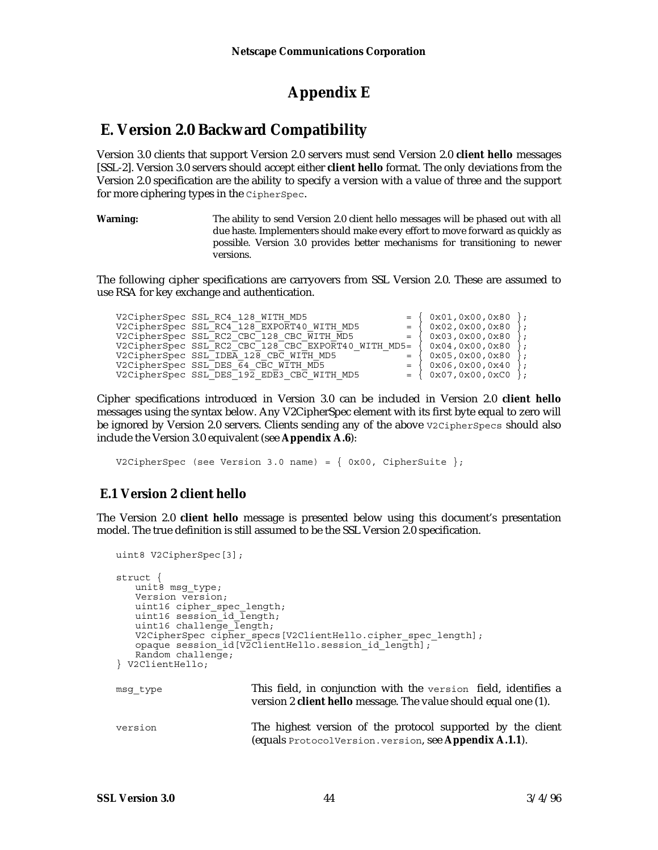### **Appendix E**

### **E. Version 2.0 Backward Compatibility**

Version 3.0 clients that support Version 2.0 servers must send Version 2.0 **client hello** messages [SSL-2]. Version 3.0 servers should accept either **client hello** format. The only deviations from the Version 2.0 specification are the ability to specify a version with a value of three and the support for more ciphering types in the CipherSpec.

**Warning:** The ability to send Version 2.0 client hello messages will be phased out with all due haste. Implementers should make every effort to move forward as quickly as possible. Version 3.0 provides better mechanisms for transitioning to newer versions.

The following cipher specifications are carryovers from SSL Version 2.0. These are assumed to use RSA for key exchange and authentication.

| V2CipherSpec SSL RC4 128 WITH MD5                     |                       | $= \{ 0x01, 0x00, 0x80 \};$ |                 |
|-------------------------------------------------------|-----------------------|-----------------------------|-----------------|
| V2CipherSpec SSL RC4 128 EXPORT40 WITH MD5            | $=$ $\sqrt{ }$        | 0x02,0x00,0x80              | $\rightarrow$ : |
| V2CipherSpec SSL RC2 CBC 128 CBC WITH MD5             | $=$ $\left\{ \right.$ | 0x03,0x00,0x80              | $\cdot$ :       |
| V2CipherSpec SSL RC2 CBC 128 CBC EXPORT40 WITH MD5= { |                       | (0x04, 0x00, 0x80)          | $\cdot$         |
| V2CipherSpec SSL IDEA 128 CBC WITH MD5                |                       | 0x05,0x00,0x80              | $\cdot$ :       |
| V2CipherSpec SSL DES 64 CBC WITH MD5                  | $=$                   | 0x06,0x00,0x40              | $\cdot$         |
| V2CipherSpec SSL DES 192 EDE3 CBC WITH MD5            |                       | $0x07, 0x00, 0xC0$ :        |                 |
|                                                       |                       |                             |                 |

Cipher specifications introduced in Version 3.0 can be included in Version 2.0 **client hello** messages using the syntax below. Any V2CipherSpec element with its first byte equal to zero will be ignored by Version 2.0 servers. Clients sending any of the above v2CipherSpecs should also include the Version 3.0 equivalent (see **Appendix A.6**):

V2CipherSpec (see Version 3.0 name) =  $\{$  0x00, CipherSuite  $\};$ 

### **E.1 Version 2 client hello**

The Version 2.0 **client hello** message is presented below using this document's presentation model. The true definition is still assumed to be the SSL Version 2.0 specification.

```
uint8 V2CipherSpec[3];
struct {
   unit8 msg_type;
   Version version;
   uint16 cipher_spec_length;
   uint16 session_id_length;
   uint16 challenge \bar{l}ength;
   V2CipherSpec cipher_specs[V2ClientHello.cipher_spec_length];
   opaque session id[V2ClientHello.session id length];
   Random challenge;
} V2ClientHello;
msg_type This field, in conjunction with the version field, identifies a
                        version 2 client hello message. The value should equal one (1).
version The highest version of the protocol supported by the client
                        (equals ProtocolVersion.version, see Appendix A.1.1).
```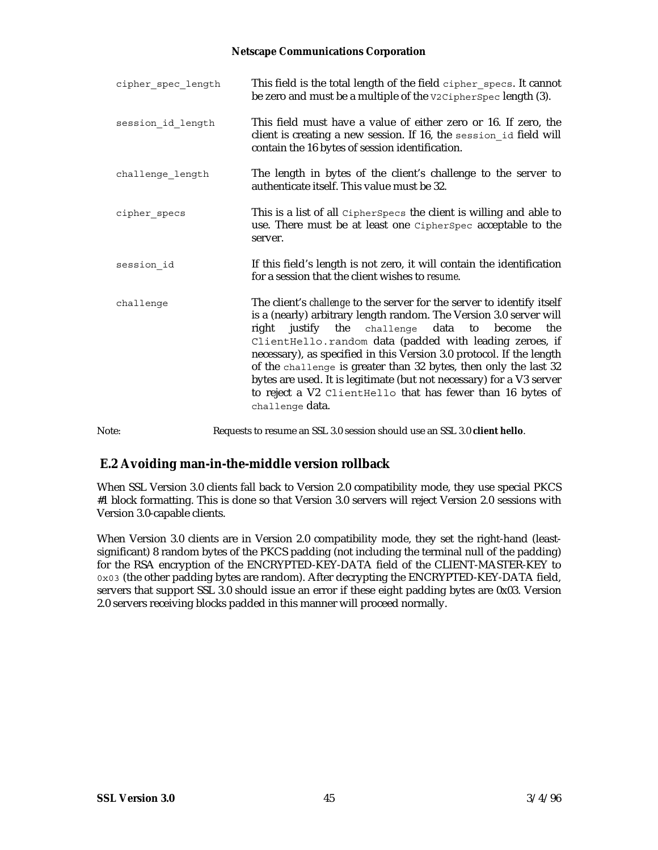| cipher spec length | This field is the total length of the field cipher specs. It cannot<br>be zero and must be a multiple of the v2CipherSpec length (3).                                                                                                                                                                                                                                                                                                                                                                                                                                   |
|--------------------|-------------------------------------------------------------------------------------------------------------------------------------------------------------------------------------------------------------------------------------------------------------------------------------------------------------------------------------------------------------------------------------------------------------------------------------------------------------------------------------------------------------------------------------------------------------------------|
| session id length  | This field must have a value of either zero or 16. If zero, the<br>client is creating a new session. If 16, the session id field will<br>contain the 16 bytes of session identification.                                                                                                                                                                                                                                                                                                                                                                                |
| challenge_length   | The length in bytes of the client's challenge to the server to<br>authenticate itself. This value must be 32.                                                                                                                                                                                                                                                                                                                                                                                                                                                           |
| cipher specs       | This is a list of all CipherSpecs the client is willing and able to<br>use. There must be at least one CipherSpec acceptable to the<br>server.                                                                                                                                                                                                                                                                                                                                                                                                                          |
| session id         | If this field's length is not zero, it will contain the identification<br>for a session that the client wishes to resume.                                                                                                                                                                                                                                                                                                                                                                                                                                               |
| challenge          | The client's challenge to the server for the server to identify itself<br>is a (nearly) arbitrary length random. The Version 3.0 server will<br>justify the challenge data to<br>become<br>right<br>the<br>ClientHello.random data (padded with leading zeroes, if<br>necessary), as specified in this Version 3.0 protocol. If the length<br>of the challenge is greater than 32 bytes, then only the last 32<br>bytes are used. It is legitimate (but not necessary) for a V3 server<br>to reject a V2 ClientHello that has fewer than 16 bytes of<br>challenge data. |
| Note:              | Requests to resume an SSL 3.0 session should use an SSL 3.0 client hello.                                                                                                                                                                                                                                                                                                                                                                                                                                                                                               |

### **E.2 Avoiding man-in-the-middle version rollback**

When SSL Version 3.0 clients fall back to Version 2.0 compatibility mode, they use special PKCS #1 block formatting. This is done so that Version 3.0 servers will reject Version 2.0 sessions with Version 3.0-capable clients.

When Version 3.0 clients are in Version 2.0 compatibility mode, they set the right-hand (leastsignificant) 8 random bytes of the PKCS padding (not including the terminal null of the padding) for the RSA encryption of the ENCRYPTED-KEY-DATA field of the CLIENT-MASTER-KEY to 0x03 (the other padding bytes are random). After decrypting the ENCRYPTED-KEY-DATA field, servers that support SSL 3.0 should issue an error if these eight padding bytes are 0x03. Version 2.0 servers receiving blocks padded in this manner will proceed normally.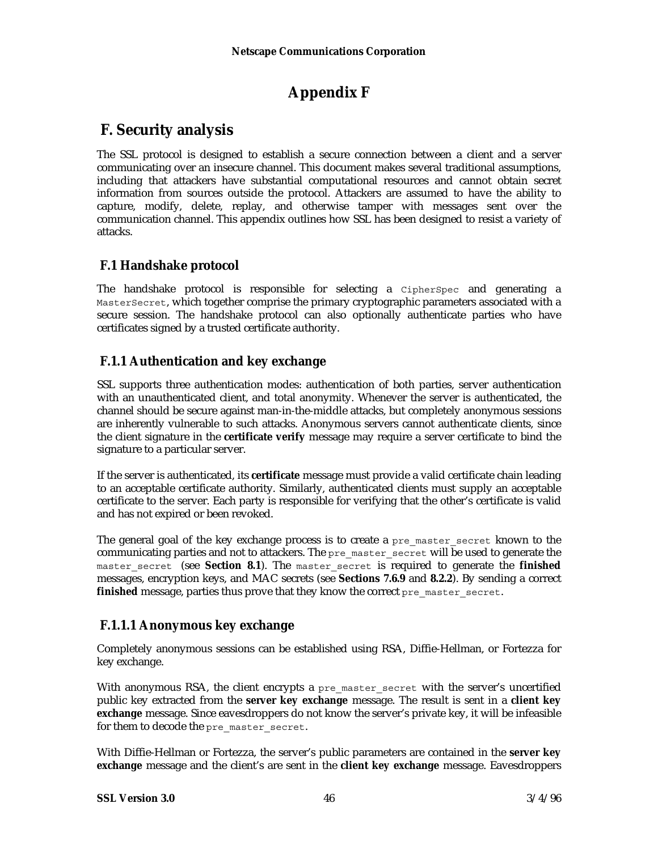## **Appendix F**

### **F. Security analysis**

The SSL protocol is designed to establish a secure connection between a client and a server communicating over an insecure channel. This document makes several traditional assumptions, including that attackers have substantial computational resources and cannot obtain secret information from sources outside the protocol. Attackers are assumed to have the ability to capture, modify, delete, replay, and otherwise tamper with messages sent over the communication channel. This appendix outlines how SSL has been designed to resist a variety of attacks.

### **F.1 Handshake protocol**

The handshake protocol is responsible for selecting a CipherSpec and generating a MasterSecret, which together comprise the primary cryptographic parameters associated with a secure session. The handshake protocol can also optionally authenticate parties who have certificates signed by a trusted certificate authority.

### **F.1.1 Authentication and key exchange**

SSL supports three authentication modes: authentication of both parties, server authentication with an unauthenticated client, and total anonymity. Whenever the server is authenticated, the channel should be secure against man-in-the-middle attacks, but completely anonymous sessions are inherently vulnerable to such attacks. Anonymous servers cannot authenticate clients, since the client signature in the **certificate verify** message may require a server certificate to bind the signature to a particular server.

If the server is authenticated, its **certificate** message must provide a valid certificate chain leading to an acceptable certificate authority. Similarly, authenticated clients must supply an acceptable certificate to the server. Each party is responsible for verifying that the other's certificate is valid and has not expired or been revoked.

The general goal of the key exchange process is to create a pre master secret known to the communicating parties and not to attackers. The pre\_master\_secret will be used to generate the master secret (see **Section 8.1**). The master secret is required to generate the **finished** messages, encryption keys, and MAC secrets (see **Sections 7.6.9** and **8.2.2**). By sending a correct **finished** message, parties thus prove that they know the correct pre\_master\_secret.

### **F.1.1.1 Anonymous key exchange**

Completely anonymous sessions can be established using RSA, Diffie-Hellman, or Fortezza for key exchange.

With anonymous RSA, the client encrypts a pre master secret with the server's uncertified public key extracted from the **server key exchange** message. The result is sent in a **client key exchange** message. Since eavesdroppers do not know the server's private key, it will be infeasible for them to decode the pre\_master\_secret.

With Diffie-Hellman or Fortezza, the server's public parameters are contained in the **server key exchange** message and the client's are sent in the **client key exchange** message. Eavesdroppers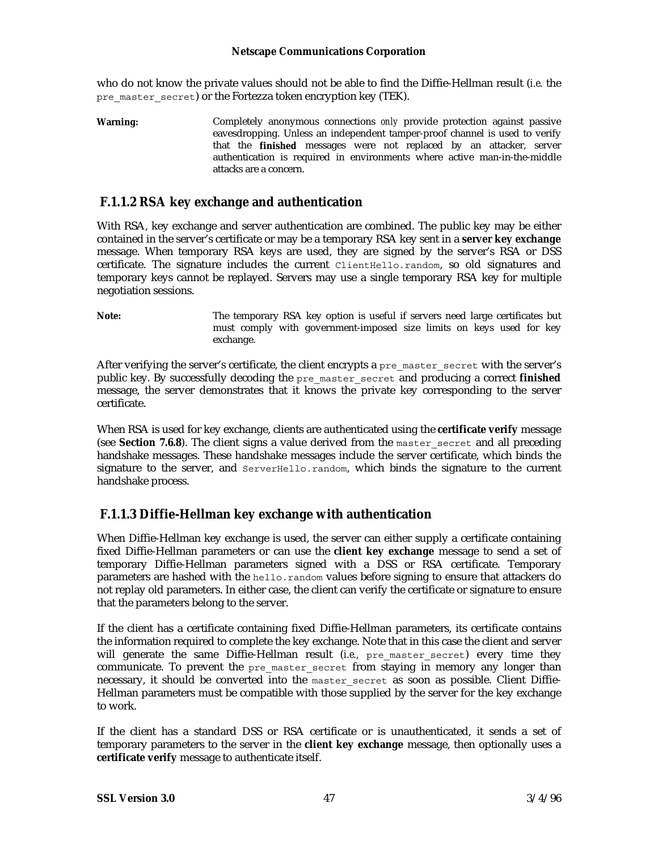who do not know the private values should not be able to find the Diffie-Hellman result (*i.e.* the pre master secret) or the Fortezza token encryption key (TEK).

**Warning:** Completely anonymous connections *only* provide protection against passive eavesdropping. Unless an independent tamper-proof channel is used to verify that the **finished** messages were not replaced by an attacker, server authentication is required in environments where active man-in-the-middle attacks are a concern.

### **F.1.1.2 RSA key exchange and authentication**

With RSA, key exchange and server authentication are combined. The public key may be either contained in the server's certificate or may be a temporary RSA key sent in a **server key exchange** message. When temporary RSA keys are used, they are signed by the server's RSA or DSS certificate. The signature includes the current ClientHello.random, so old signatures and temporary keys cannot be replayed. Servers may use a single temporary RSA key for multiple negotiation sessions.

**Note:** The temporary RSA key option is useful if servers need large certificates but must comply with government-imposed size limits on keys used for key exchange.

After verifying the server's certificate, the client encrypts a pre\_master\_secret with the server's public key. By successfully decoding the pre\_master\_secret and producing a correct **finished** message, the server demonstrates that it knows the private key corresponding to the server certificate.

When RSA is used for key exchange, clients are authenticated using the **certificate verify** message (see **Section 7.6.8**). The client signs a value derived from the master\_secret and all preceding handshake messages. These handshake messages include the server certificate, which binds the signature to the server, and ServerHello.random, which binds the signature to the current handshake process.

### **F.1.1.3 Diffie-Hellman key exchange with authentication**

When Diffie-Hellman key exchange is used, the server can either supply a certificate containing fixed Diffie-Hellman parameters or can use the **client key exchange** message to send a set of temporary Diffie-Hellman parameters signed with a DSS or RSA certificate. Temporary parameters are hashed with the hello.random values before signing to ensure that attackers do not replay old parameters. In either case, the client can verify the certificate or signature to ensure that the parameters belong to the server.

If the client has a certificate containing fixed Diffie-Hellman parameters, its certificate contains the information required to complete the key exchange. Note that in this case the client and server will generate the same Diffie-Hellman result *(i.e.*, pre-master secret) every time they communicate. To prevent the pre-master secret from staying in memory any longer than necessary, it should be converted into the master secret as soon as possible. Client Diffie-Hellman parameters must be compatible with those supplied by the server for the key exchange to work.

If the client has a standard DSS or RSA certificate or is unauthenticated, it sends a set of temporary parameters to the server in the **client key exchange** message, then optionally uses a **certificate verify** message to authenticate itself.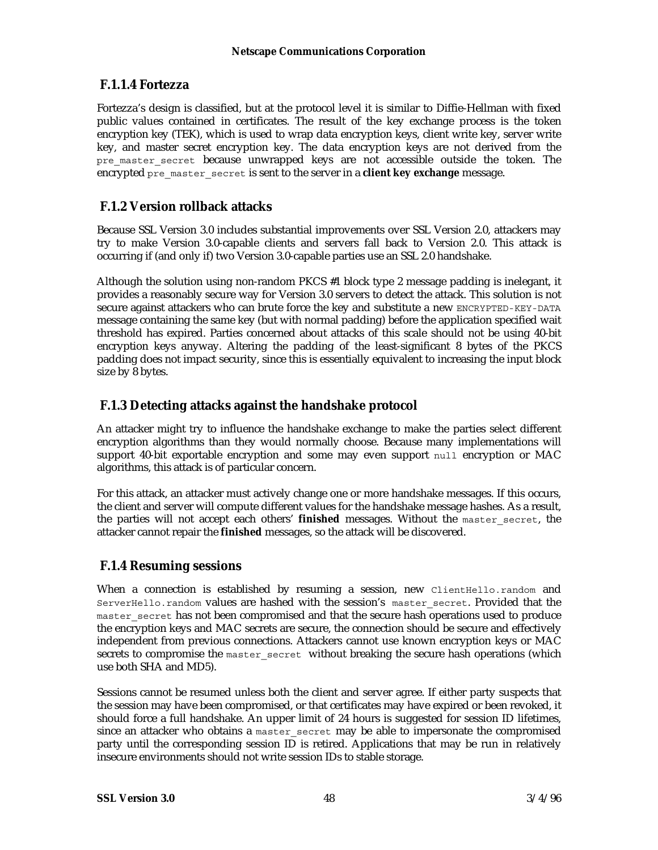### **F.1.1.4 Fortezza**

Fortezza's design is classified, but at the protocol level it is similar to Diffie-Hellman with fixed public values contained in certificates. The result of the key exchange process is the token encryption key (TEK), which is used to wrap data encryption keys, client write key, server write key, and master secret encryption key. The data encryption keys are not derived from the pre master secret because unwrapped keys are not accessible outside the token. The encrypted pre\_master\_secret is sent to the server in a **client key exchange** message.

### **F.1.2 Version rollback attacks**

Because SSL Version 3.0 includes substantial improvements over SSL Version 2.0, attackers may try to make Version 3.0-capable clients and servers fall back to Version 2.0. This attack is occurring if (and only if) two Version 3.0-capable parties use an SSL 2.0 handshake.

Although the solution using non-random PKCS #1 block type 2 message padding is inelegant, it provides a reasonably secure way for Version 3.0 servers to detect the attack. This solution is not secure against attackers who can brute force the key and substitute a new ENCRYPTED-KEY-DATA message containing the same key (but with normal padding) before the application specified wait threshold has expired. Parties concerned about attacks of this scale should not be using 40-bit encryption keys anyway. Altering the padding of the least-significant 8 bytes of the PKCS padding does not impact security, since this is essentially equivalent to increasing the input block size by 8 bytes.

### **F.1.3 Detecting attacks against the handshake protocol**

An attacker might try to influence the handshake exchange to make the parties select different encryption algorithms than they would normally choose. Because many implementations will support 40-bit exportable encryption and some may even support null encryption or MAC algorithms, this attack is of particular concern.

For this attack, an attacker must actively change one or more handshake messages. If this occurs, the client and server will compute different values for the handshake message hashes. As a result, the parties will not accept each others' **finished** messages. Without the master\_secret, the attacker cannot repair the **finished** messages, so the attack will be discovered.

### **F.1.4 Resuming sessions**

When a connection is established by resuming a session, new ClientHello.random and ServerHello.random values are hashed with the session's master\_secret. Provided that the master secret has not been compromised and that the secure hash operations used to produce the encryption keys and MAC secrets are secure, the connection should be secure and effectively independent from previous connections. Attackers cannot use known encryption keys or MAC secrets to compromise the master secret without breaking the secure hash operations (which use both SHA and MD5).

Sessions cannot be resumed unless both the client and server agree. If either party suspects that the session may have been compromised, or that certificates may have expired or been revoked, it should force a full handshake. An upper limit of 24 hours is suggested for session ID lifetimes, since an attacker who obtains a master secret may be able to impersonate the compromised party until the corresponding session ID is retired. Applications that may be run in relatively insecure environments should not write session IDs to stable storage.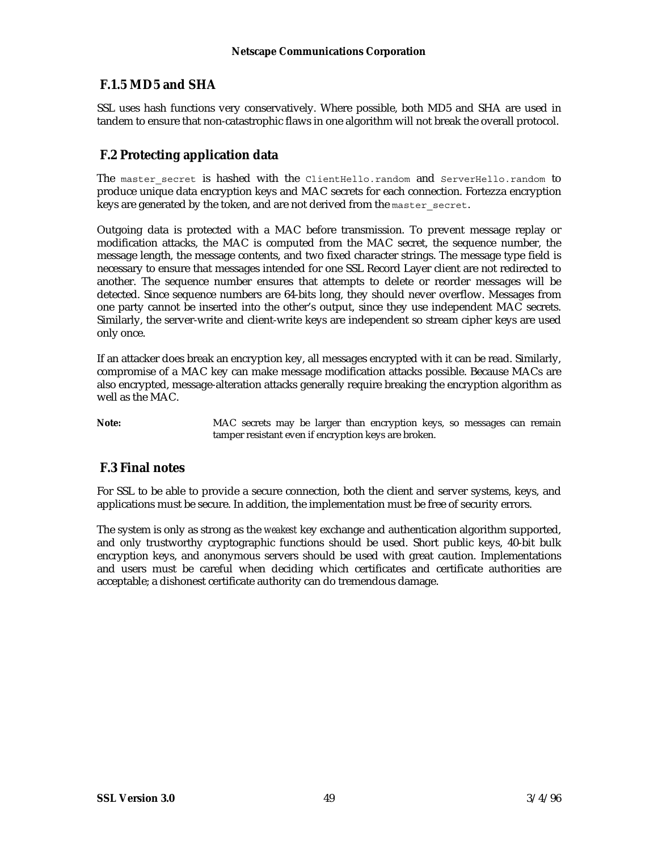### **F.1.5 MD5 and SHA**

SSL uses hash functions very conservatively. Where possible, both MD5 and SHA are used in tandem to ensure that non-catastrophic flaws in one algorithm will not break the overall protocol.

### **F.2 Protecting application data**

The master secret is hashed with the ClientHello.random and ServerHello.random to produce unique data encryption keys and MAC secrets for each connection. Fortezza encryption keys are generated by the token, and are not derived from the master secret.

Outgoing data is protected with a MAC before transmission. To prevent message replay or modification attacks, the MAC is computed from the MAC secret, the sequence number, the message length, the message contents, and two fixed character strings. The message type field is necessary to ensure that messages intended for one SSL Record Layer client are not redirected to another. The sequence number ensures that attempts to delete or reorder messages will be detected. Since sequence numbers are 64-bits long, they should never overflow. Messages from one party cannot be inserted into the other's output, since they use independent MAC secrets. Similarly, the server-write and client-write keys are independent so stream cipher keys are used only once.

If an attacker does break an encryption key, all messages encrypted with it can be read. Similarly, compromise of a MAC key can make message modification attacks possible. Because MACs are also encrypted, message-alteration attacks generally require breaking the encryption algorithm as well as the MAC.

Note: MAC secrets may be larger than encryption keys, so messages can remain tamper resistant even if encryption keys are broken.

### **F.3 Final notes**

For SSL to be able to provide a secure connection, both the client and server systems, keys, and applications must be secure. In addition, the implementation must be free of security errors.

The system is only as strong as the *weakest* key exchange and authentication algorithm supported, and only trustworthy cryptographic functions should be used. Short public keys, 40-bit bulk encryption keys, and anonymous servers should be used with great caution. Implementations and users must be careful when deciding which certificates and certificate authorities are acceptable; a dishonest certificate authority can do tremendous damage.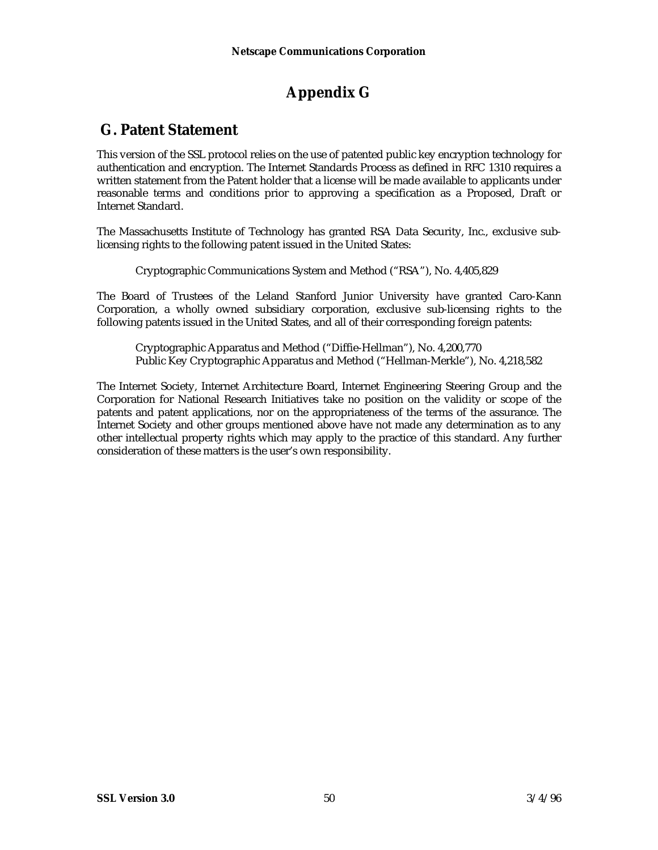## **Appendix G**

### **G. Patent Statement**

This version of the SSL protocol relies on the use of patented public key encryption technology for authentication and encryption. The Internet Standards Process as defined in RFC 1310 requires a written statement from the Patent holder that a license will be made available to applicants under reasonable terms and conditions prior to approving a specification as a Proposed, Draft or Internet Standard.

The Massachusetts Institute of Technology has granted RSA Data Security, Inc., exclusive sublicensing rights to the following patent issued in the United States:

Cryptographic Communications System and Method ("RSA"), No. 4,405,829

The Board of Trustees of the Leland Stanford Junior University have granted Caro-Kann Corporation, a wholly owned subsidiary corporation, exclusive sub-licensing rights to the following patents issued in the United States, and all of their corresponding foreign patents:

Cryptographic Apparatus and Method ("Diffie-Hellman"), No. 4,200,770 Public Key Cryptographic Apparatus and Method ("Hellman-Merkle"), No. 4,218,582

The Internet Society, Internet Architecture Board, Internet Engineering Steering Group and the Corporation for National Research Initiatives take no position on the validity or scope of the patents and patent applications, nor on the appropriateness of the terms of the assurance. The Internet Society and other groups mentioned above have not made any determination as to any other intellectual property rights which may apply to the practice of this standard. Any further consideration of these matters is the user's own responsibility.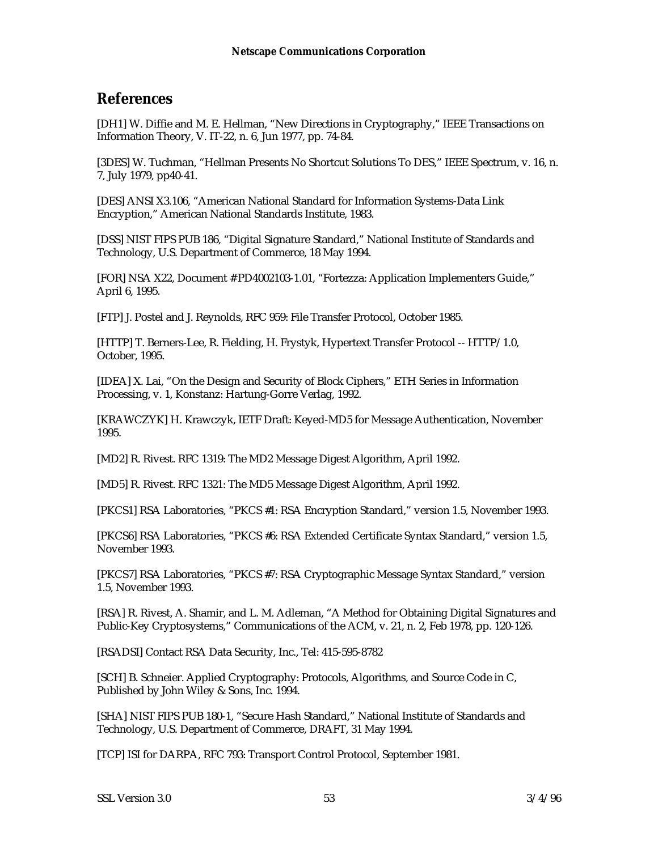### **References**

[DH1] W. Diffie and M. E. Hellman, "New Directions in Cryptography," IEEE Transactions on Information Theory, V. IT-22, n. 6, Jun 1977, pp. 74-84.

[3DES] W. Tuchman, "Hellman Presents No Shortcut Solutions To DES," IEEE Spectrum, v. 16, n. 7, July 1979, pp40-41.

[DES] ANSI X3.106, "American National Standard for Information Systems-Data Link Encryption," American National Standards Institute, 1983.

[DSS] NIST FIPS PUB 186, "Digital Signature Standard," National Institute of Standards and Technology, U.S. Department of Commerce, 18 May 1994.

[FOR] NSA X22, Document # PD4002103-1.01, "Fortezza: Application Implementers Guide," April 6, 1995.

[FTP] J. Postel and J. Reynolds, RFC 959: File Transfer Protocol, October 1985.

[HTTP] T. Berners-Lee, R. Fielding, H. Frystyk, Hypertext Transfer Protocol -- HTTP/1.0, October, 1995.

[IDEA] X. Lai, "On the Design and Security of Block Ciphers," ETH Series in Information Processing, v. 1, Konstanz: Hartung-Gorre Verlag, 1992.

[KRAWCZYK] H. Krawczyk, IETF Draft: Keyed-MD5 for Message Authentication, November 1995.

[MD2] R. Rivest. RFC 1319: The MD2 Message Digest Algorithm, April 1992.

[MD5] R. Rivest. RFC 1321: The MD5 Message Digest Algorithm, April 1992.

[PKCS1] RSA Laboratories, "PKCS #1: RSA Encryption Standard," version 1.5, November 1993.

[PKCS6] RSA Laboratories, "PKCS #6: RSA Extended Certificate Syntax Standard," version 1.5, November 1993.

[PKCS7] RSA Laboratories, "PKCS #7: RSA Cryptographic Message Syntax Standard," version 1.5, November 1993.

[RSA] R. Rivest, A. Shamir, and L. M. Adleman, "A Method for Obtaining Digital Signatures and Public-Key Cryptosystems," Communications of the ACM, v. 21, n. 2, Feb 1978, pp. 120-126.

[RSADSI] Contact RSA Data Security, Inc., Tel: 415-595-8782

[SCH] B. Schneier. Applied Cryptography: Protocols, Algorithms, and Source Code in C, Published by John Wiley & Sons, Inc. 1994.

[SHA] NIST FIPS PUB 180-1, "Secure Hash Standard," National Institute of Standards and Technology, U.S. Department of Commerce, DRAFT, 31 May 1994.

[TCP] ISI for DARPA, RFC 793: Transport Control Protocol, September 1981.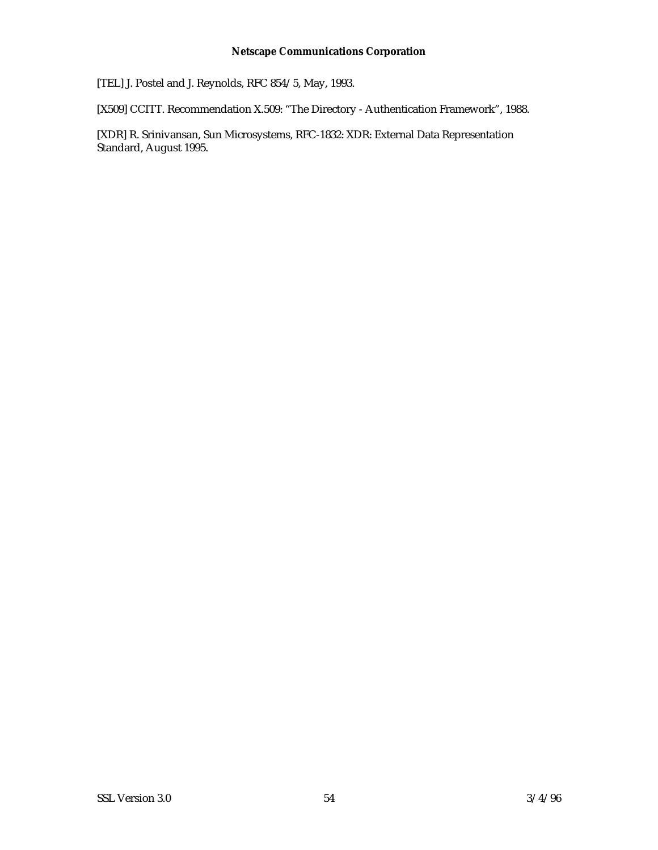[TEL] J. Postel and J. Reynolds, RFC 854/5, May, 1993.

[X509] CCITT. Recommendation X.509: "The Directory - Authentication Framework", 1988.

[XDR] R. Srinivansan, Sun Microsystems, RFC-1832: XDR: External Data Representation Standard, August 1995.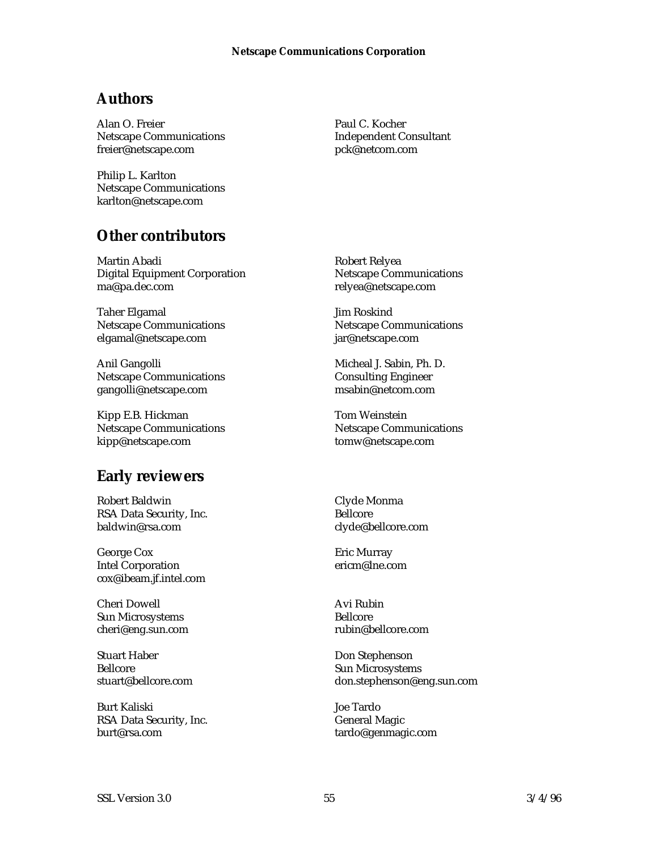### **Authors**

Alan O. Freier Netscape Communications freier@netscape.com

Philip L. Karlton Netscape Communications karlton@netscape.com

### **Other contributors**

Martin Abadi Digital Equipment Corporation ma@pa.dec.com

Taher Elgamal Netscape Communications elgamal@netscape.com

Anil Gangolli Netscape Communications gangolli@netscape.com

Kipp E.B. Hickman Netscape Communications kipp@netscape.com

### **Early reviewers**

Robert Baldwin RSA Data Security, Inc. baldwin@rsa.com

George Cox Intel Corporation cox@ibeam.jf.intel.com

Cheri Dowell Sun Microsystems cheri@eng.sun.com

Stuart Haber Bellcore stuart@bellcore.com

Burt Kaliski RSA Data Security, Inc. burt@rsa.com

Paul C. Kocher Independent Consultant pck@netcom.com

Robert Relyea Netscape Communications relyea@netscape.com

Jim Roskind Netscape Communications jar@netscape.com

Micheal J. Sabin, Ph. D. Consulting Engineer msabin@netcom.com

Tom Weinstein Netscape Communications tomw@netscape.com

Clyde Monma Bellcore clyde@bellcore.com

Eric Murray ericm@lne.com

Avi Rubin Bellcore rubin@bellcore.com

Don Stephenson Sun Microsystems don.stephenson@eng.sun.com

Joe Tardo General Magic tardo@genmagic.com